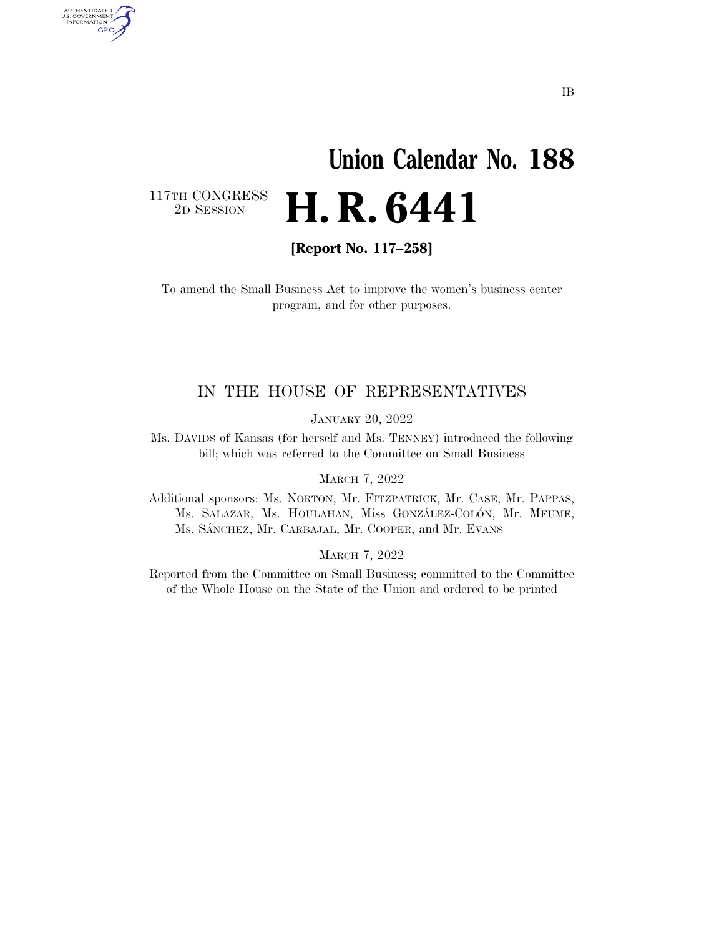## **Union Calendar No. 188**  2D SESSION **H. R. 6441**

117TH CONGRESS<br>2D SESSION

AUTHENTICATED<br>U.S. GOVERNMENT<br>INFORMATION GPO

**[Report No. 117–258]** 

To amend the Small Business Act to improve the women's business center program, and for other purposes.

#### IN THE HOUSE OF REPRESENTATIVES

JANUARY 20, 2022

Ms. DAVIDS of Kansas (for herself and Ms. TENNEY) introduced the following bill; which was referred to the Committee on Small Business

MARCH 7, 2022

Additional sponsors: Ms. NORTON, Mr. FITZPATRICK, Mr. CASE, Mr. PAPPAS, Ms. SALAZAR, Ms. HOULAHAN, Miss GONZÁLEZ-COLÓN, Mr. MFUME, Ms. SA´NCHEZ, Mr. CARBAJAL, Mr. COOPER, and Mr. EVANS

MARCH 7, 2022

Reported from the Committee on Small Business; committed to the Committee of the Whole House on the State of the Union and ordered to be printed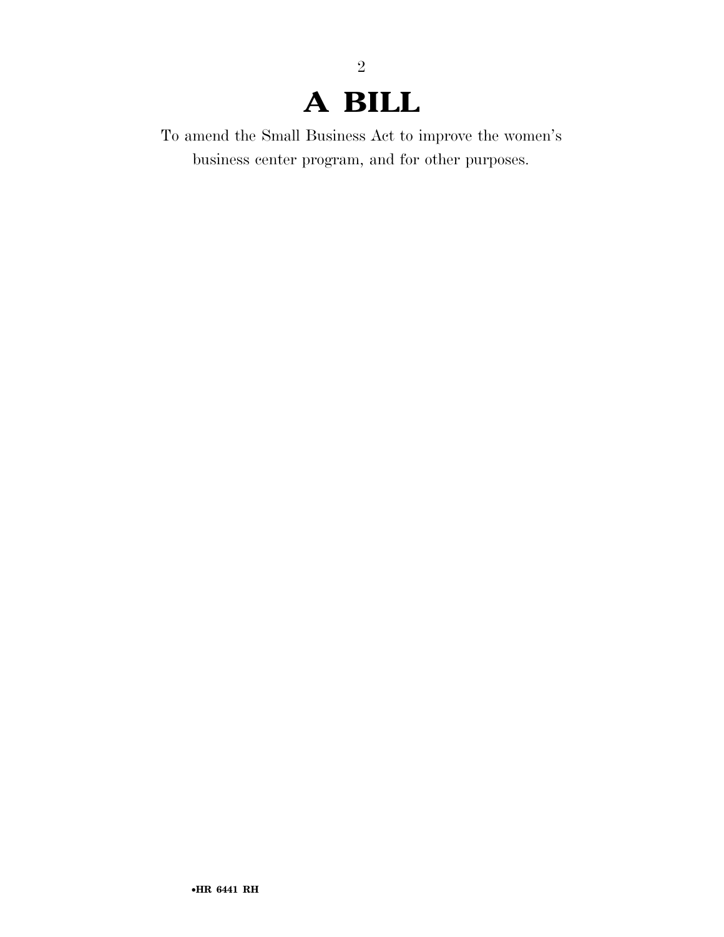### **A BILL**

2

To amend the Small Business Act to improve the women's business center program, and for other purposes.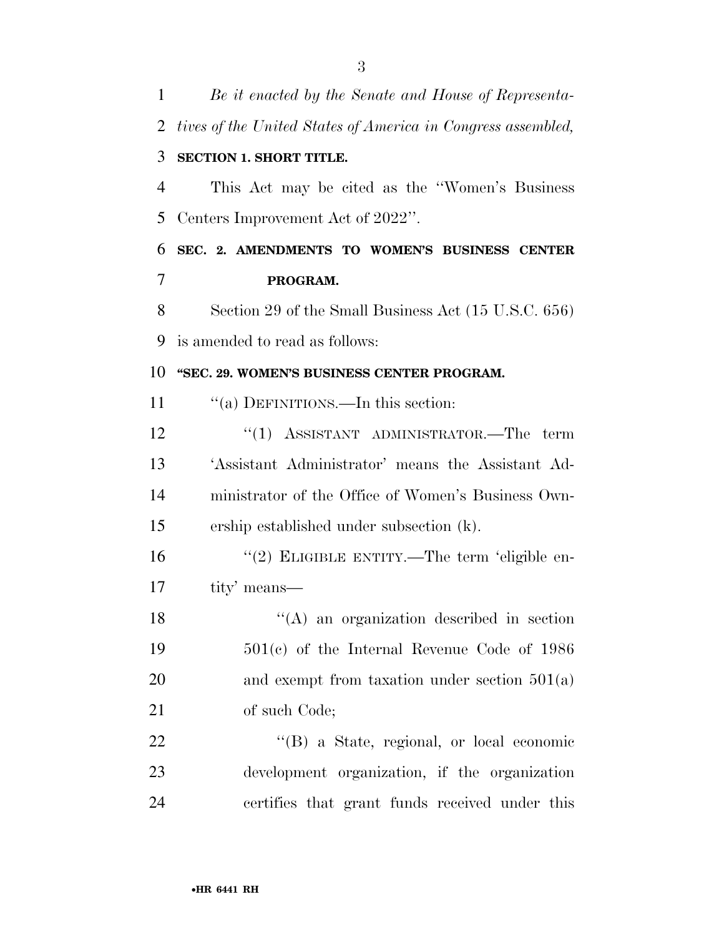| 1              | Be it enacted by the Senate and House of Representa-         |
|----------------|--------------------------------------------------------------|
| $\overline{2}$ | tives of the United States of America in Congress assembled, |
| 3              | <b>SECTION 1. SHORT TITLE.</b>                               |
| $\overline{4}$ | This Act may be cited as the "Women's Business"              |
| 5              | Centers Improvement Act of 2022".                            |
| 6              | SEC. 2. AMENDMENTS TO WOMEN'S BUSINESS CENTER                |
| 7              | PROGRAM.                                                     |
| 8              | Section 29 of the Small Business Act (15 U.S.C. 656)         |
| 9              | is amended to read as follows:                               |
| 10             | "SEC. 29. WOMEN'S BUSINESS CENTER PROGRAM.                   |
| 11             | "(a) DEFINITIONS.—In this section:                           |
| 12             | "(1) ASSISTANT ADMINISTRATOR.—The term                       |
| 13             | 'Assistant Administrator' means the Assistant Ad-            |
| 14             | ministrator of the Office of Women's Business Own-           |
| 15             | ership established under subsection (k).                     |
| 16             | "(2) ELIGIBLE ENTITY.—The term 'eligible en-                 |
| 17             | tity' means—                                                 |
| 18             | "(A) an organization described in section                    |
| 19             | $501(c)$ of the Internal Revenue Code of 1986                |
| 20             | and exempt from taxation under section $501(a)$              |
| 21             | of such Code;                                                |
| 22             | "(B) a State, regional, or local economic                    |
| 23             | development organization, if the organization                |
| 24             | certifies that grant funds received under this               |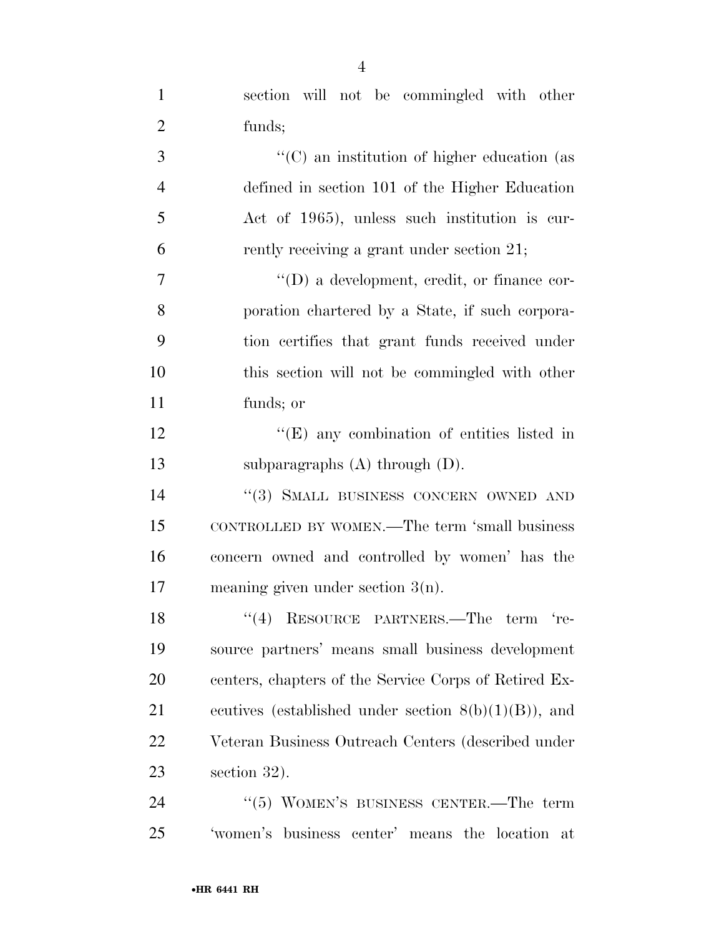| $\mathbf{1}$   | section will not be commingled with other               |
|----------------|---------------------------------------------------------|
| $\overline{2}$ | funds;                                                  |
| 3              | "(C) an institution of higher education (as             |
| $\overline{4}$ | defined in section 101 of the Higher Education          |
| 5              | Act of 1965), unless such institution is cur-           |
| 6              | rently receiving a grant under section 21;              |
| $\tau$         | $\lq\lq$ (D) a development, credit, or finance cor-     |
| 8              | poration chartered by a State, if such corpora-         |
| 9              | tion certifies that grant funds received under          |
| 10             | this section will not be commingled with other          |
| 11             | funds; or                                               |
| 12             | "(E) any combination of entities listed in              |
| 13             | subparagraphs $(A)$ through $(D)$ .                     |
| 14             | "(3) SMALL BUSINESS CONCERN OWNED AND                   |
| 15             | CONTROLLED BY WOMEN.—The term 'small business           |
| 16             | concern owned and controlled by women' has the          |
| 17             | meaning given under section $3(n)$ .                    |
| 18             | "(4) RESOURCE PARTNERS.—The term 're-                   |
| 19             | source partners' means small business development       |
| 20             | centers, chapters of the Service Corps of Retired Ex-   |
| 21             | ecutives (established under section $8(b)(1)(B)$ ), and |
| 22             | Veteran Business Outreach Centers (described under      |
| 23             | section 32).                                            |
| 24             | " $(5)$ WOMEN'S BUSINESS CENTER.—The term               |
| 25             | 'women's business center' means the location at         |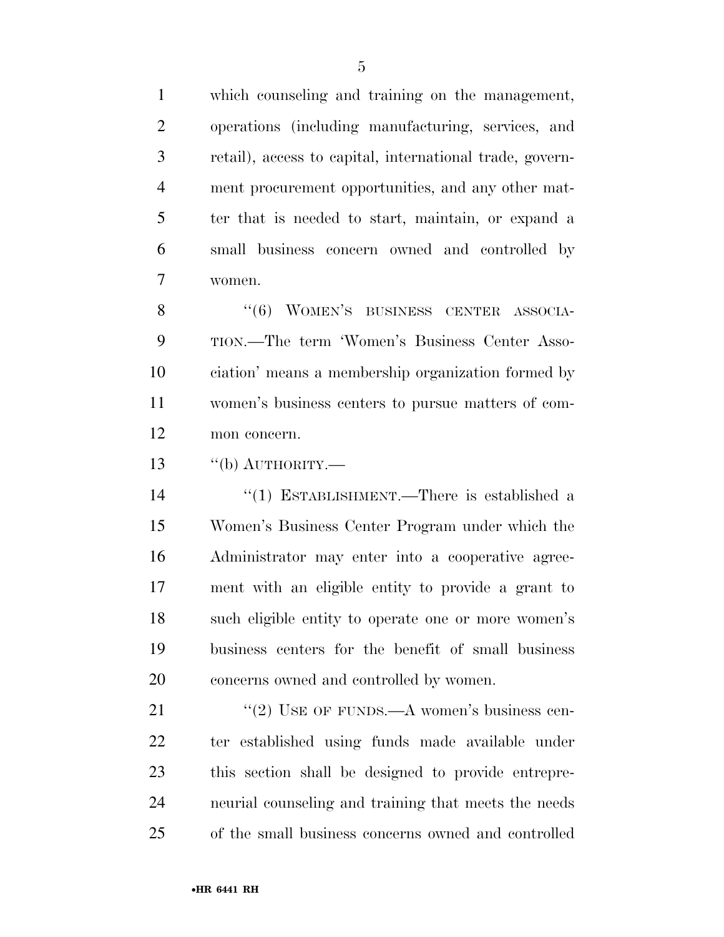which counseling and training on the management, operations (including manufacturing, services, and retail), access to capital, international trade, govern- ment procurement opportunities, and any other mat- ter that is needed to start, maintain, or expand a small business concern owned and controlled by women.

8 "(6) WOMEN'S BUSINESS CENTER ASSOCIA- TION.—The term 'Women's Business Center Asso- ciation' means a membership organization formed by women's business centers to pursue matters of com-mon concern.

''(b) AUTHORITY.—

 ''(1) ESTABLISHMENT.—There is established a Women's Business Center Program under which the Administrator may enter into a cooperative agree- ment with an eligible entity to provide a grant to such eligible entity to operate one or more women's business centers for the benefit of small business concerns owned and controlled by women.

21 "(2) USE OF FUNDS.—A women's business cen- ter established using funds made available under this section shall be designed to provide entrepre- neurial counseling and training that meets the needs of the small business concerns owned and controlled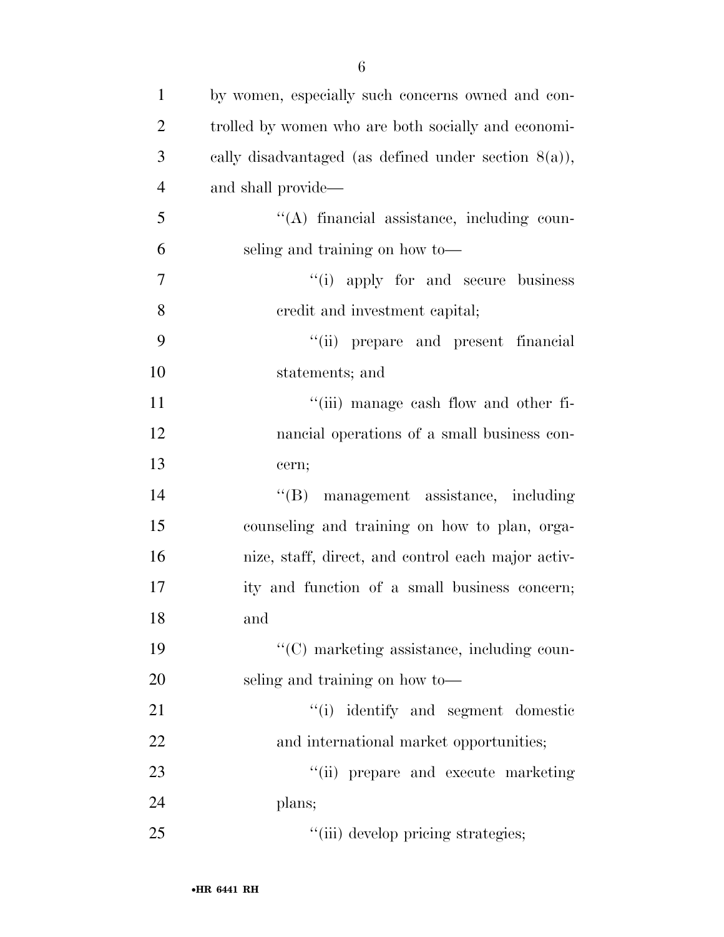| $\mathbf{1}$   | by women, especially such concerns owned and con-       |
|----------------|---------------------------------------------------------|
| $\overline{2}$ | trolled by women who are both socially and economi-     |
| 3              | cally disadvantaged (as defined under section $8(a)$ ), |
| $\overline{4}$ | and shall provide—                                      |
| 5              | $\lq\lq$ financial assistance, including coun-          |
| 6              | seling and training on how to-                          |
| $\overline{7}$ | "(i) apply for and secure business                      |
| 8              | eredit and investment capital;                          |
| 9              | "(ii) prepare and present financial                     |
| 10             | statements; and                                         |
| 11             | "(iii) manage cash flow and other fi-                   |
| 12             | nancial operations of a small business con-             |
| 13             | cern;                                                   |
| 14             | $\lq\lq (B)$<br>management assistance, including        |
| 15             | counseling and training on how to plan, orga-           |
| 16             | nize, staff, direct, and control each major activ-      |
| 17             | ity and function of a small business concern;           |
| 18             | and                                                     |
| 19             | "(C) marketing assistance, including coun-              |
| 20             | seling and training on how to-                          |
| 21             | "(i) identify and segment domestic                      |
| 22             | and international market opportunities;                 |
| 23             | "(ii) prepare and execute marketing                     |
| 24             | plans;                                                  |
| 25             | "(iii) develop pricing strategies;                      |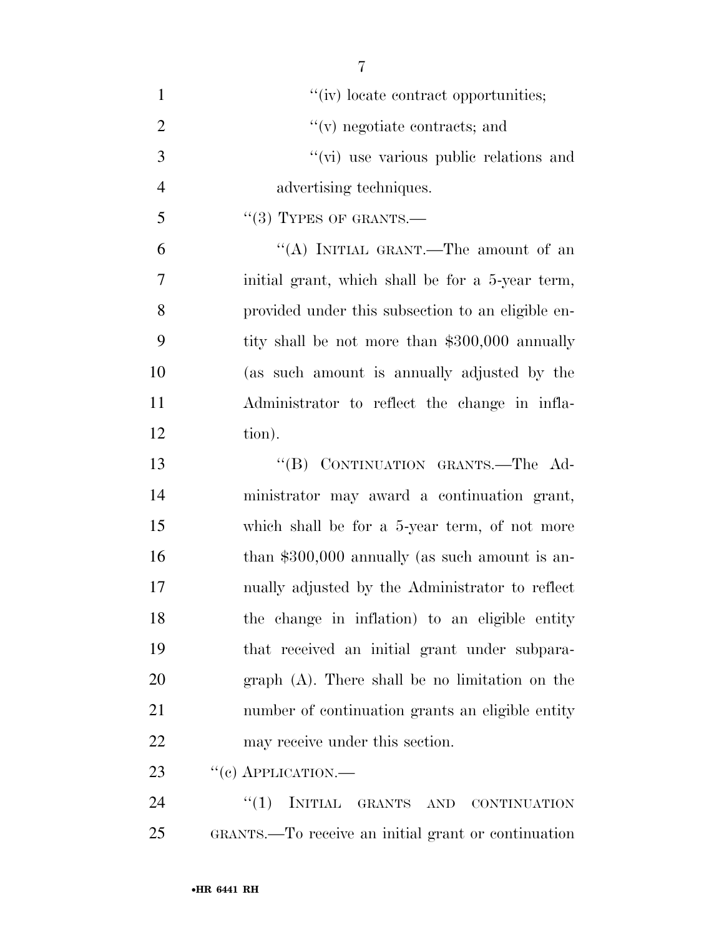| $\mathbf{1}$   | "(iv) locate contract opportunities;               |
|----------------|----------------------------------------------------|
| $\overline{2}$ | $f'(v)$ negotiate contracts; and                   |
| 3              | "(vi) use various public relations and             |
| $\overline{4}$ | advertising techniques.                            |
| 5              | $``(3)$ TYPES OF GRANTS.—                          |
| 6              | "(A) INITIAL GRANT.—The amount of an               |
| 7              | initial grant, which shall be for a 5-year term,   |
| 8              | provided under this subsection to an eligible en-  |
| 9              | tity shall be not more than \$300,000 annually     |
| 10             | (as such amount is annually adjusted by the        |
| 11             | Administrator to reflect the change in infla-      |
| 12             | tion).                                             |
| 13             | "(B) CONTINUATION GRANTS.-The Ad-                  |
| 14             | ministrator may award a continuation grant,        |
| 15             | which shall be for a 5-year term, of not more      |
| 16             | than $$300,000$ annually (as such amount is an-    |
| 17             | nually adjusted by the Administrator to reflect    |
| 18             | the change in inflation) to an eligible entity     |
| 19             | that received an initial grant under subpara-      |
| 20             | $graph(A)$ . There shall be no limitation on the   |
| 21             | number of continuation grants an eligible entity   |
| <u>22</u>      | may receive under this section.                    |
| 23             | $``(e)$ APPLICATION.—                              |
| 24             | <b>INITIAL</b><br>``(1)<br>GRANTS AND CONTINUATION |

GRANTS.—To receive an initial grant or continuation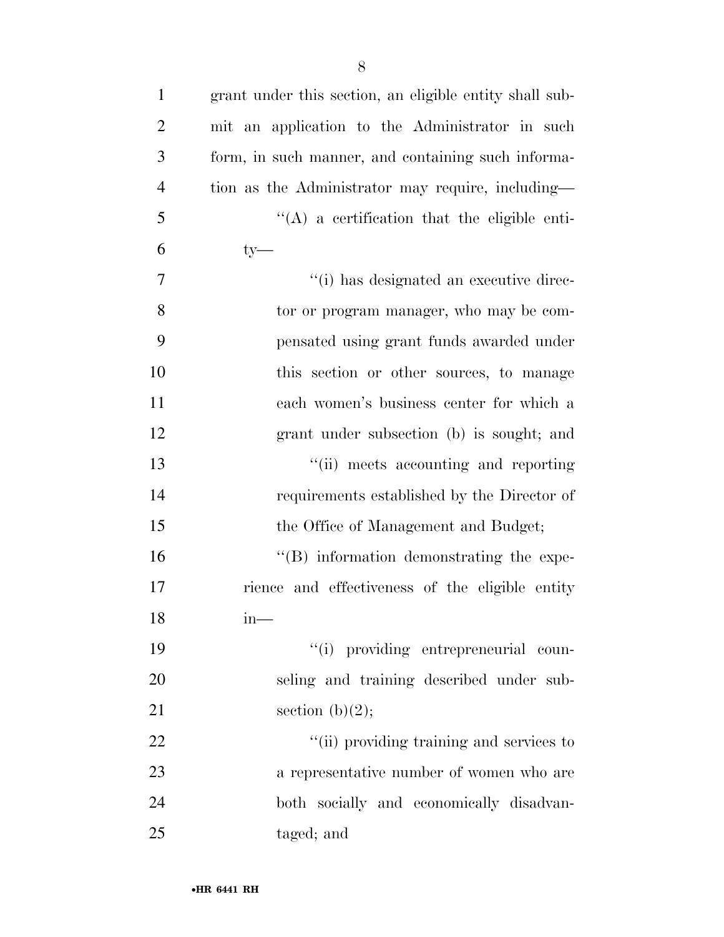| $\mathbf{1}$   | grant under this section, an eligible entity shall sub- |
|----------------|---------------------------------------------------------|
| $\overline{2}$ | mit an application to the Administrator in such         |
| 3              | form, in such manner, and containing such informa-      |
| $\overline{4}$ | tion as the Administrator may require, including—       |
| 5              | $\lq\lq$ a certification that the eligible enti-        |
| 6              | $ty$ —                                                  |
| 7              | "(i) has designated an executive direc-                 |
| 8              | tor or program manager, who may be com-                 |
| 9              | pensated using grant funds awarded under                |
| 10             | this section or other sources, to manage                |
| 11             | each women's business center for which a                |
| 12             | grant under subsection (b) is sought; and               |
| 13             | "(ii) meets accounting and reporting                    |
| 14             | requirements established by the Director of             |
| 15             | the Office of Management and Budget;                    |
| 16             | $\lq\lq (B)$ information demonstrating the expe-        |
| 17             | rience and effectiveness of the eligible entity         |
| 18             | $in-$                                                   |
| 19             | "(i) providing entrepreneurial coun-                    |
| 20             | seling and training described under sub-                |
| 21             | section $(b)(2)$ ;                                      |
| 22             | "(ii) providing training and services to                |
| 23             | a representative number of women who are                |
| 24             | both socially and economically disadvan-                |
| 25             | taged; and                                              |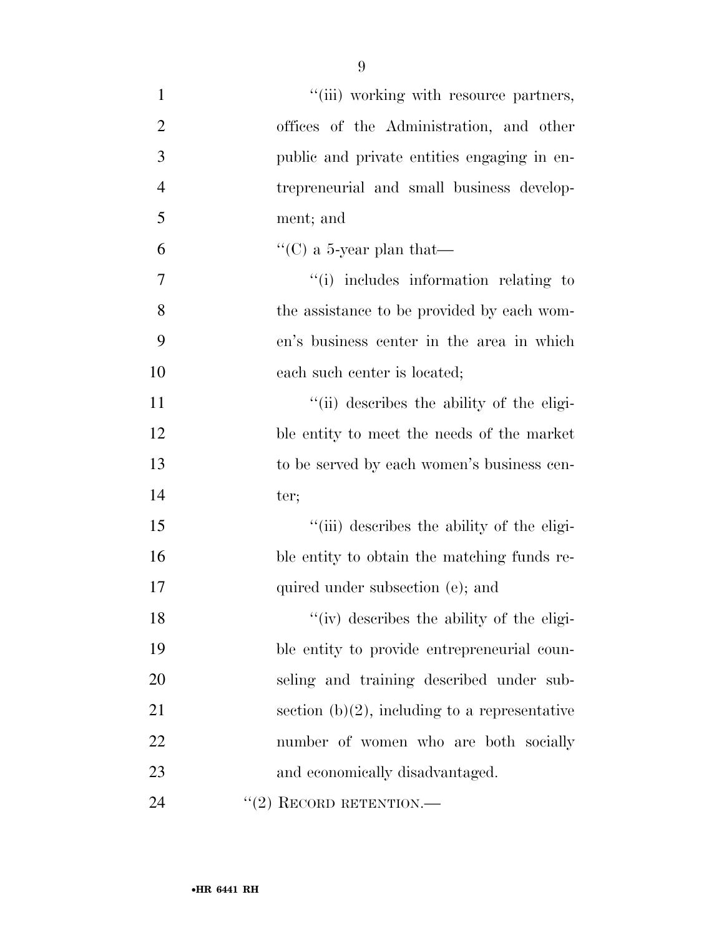| $\mathbf{1}$   | "(iii) working with resource partners,           |
|----------------|--------------------------------------------------|
| $\overline{2}$ | offices of the Administration, and other         |
| 3              | public and private entities engaging in en-      |
| $\overline{4}$ | trepreneurial and small business develop-        |
| 5              | ment; and                                        |
| 6              | "(C) a 5-year plan that—                         |
| 7              | "(i) includes information relating to            |
| 8              | the assistance to be provided by each wom-       |
| 9              | en's business center in the area in which        |
| 10             | each such center is located;                     |
| 11             | "(ii) describes the ability of the eligi-        |
| 12             | ble entity to meet the needs of the market       |
| 13             | to be served by each women's business cen-       |
| 14             | ter;                                             |
| 15             | "(iii) describes the ability of the eligi-       |
| 16             | ble entity to obtain the matching funds re-      |
| 17             | quired under subsection (e); and                 |
| 18             | "(iv) describes the ability of the eligi-        |
| 19             | ble entity to provide entrepreneurial coun-      |
| 20             | seling and training described under sub-         |
| 21             | section $(b)(2)$ , including to a representative |
| 22             | number of women who are both socially            |
| 23             | and economically disadvantaged.                  |
| 24             | "(2) RECORD RETENTION.—                          |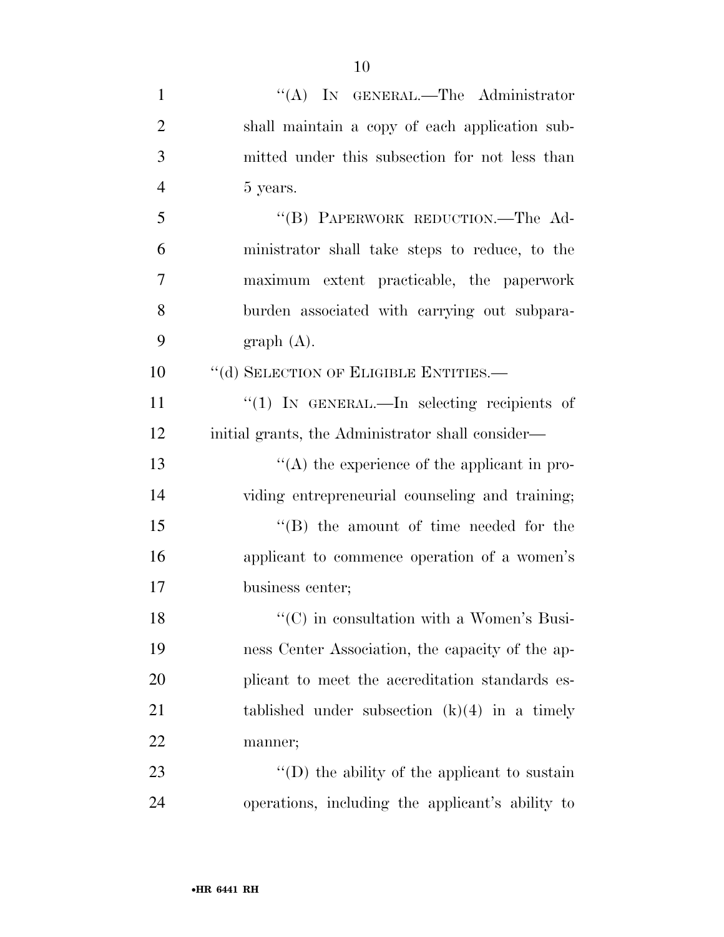| $\mathbf{1}$   | "(A) IN GENERAL.—The Administrator                   |
|----------------|------------------------------------------------------|
| $\overline{2}$ | shall maintain a copy of each application sub-       |
| 3              | mitted under this subsection for not less than       |
| $\overline{4}$ | 5 years.                                             |
| 5              | "(B) PAPERWORK REDUCTION.—The Ad-                    |
| 6              | ministrator shall take steps to reduce, to the       |
| 7              | maximum extent practicable, the paperwork            |
| 8              | burden associated with carrying out subpara-         |
| 9              | graph(A).                                            |
| 10             | "(d) SELECTION OF ELIGIBLE ENTITIES.-                |
| 11             | "(1) IN GENERAL.—In selecting recipients of          |
| 12             | initial grants, the Administrator shall consider—    |
| 13             | $\lq\lq$ the experience of the applicant in pro-     |
| 14             | viding entrepreneurial counseling and training;      |
| 15             | $\lq\lq$ the amount of time needed for the           |
| 16             | applicant to commence operation of a women's         |
| 17             | business center;                                     |
| 18             | "(C) in consultation with a Women's Busi-            |
| 19             | ness Center Association, the capacity of the ap-     |
| 20             | plicant to meet the accreditation standards es-      |
| 21             | tablished under subsection $(k)(4)$ in a timely      |
| 22             | manner;                                              |
| 23             | $\lq\lq$ (D) the ability of the applicant to sustain |
| 24             | operations, including the applicant's ability to     |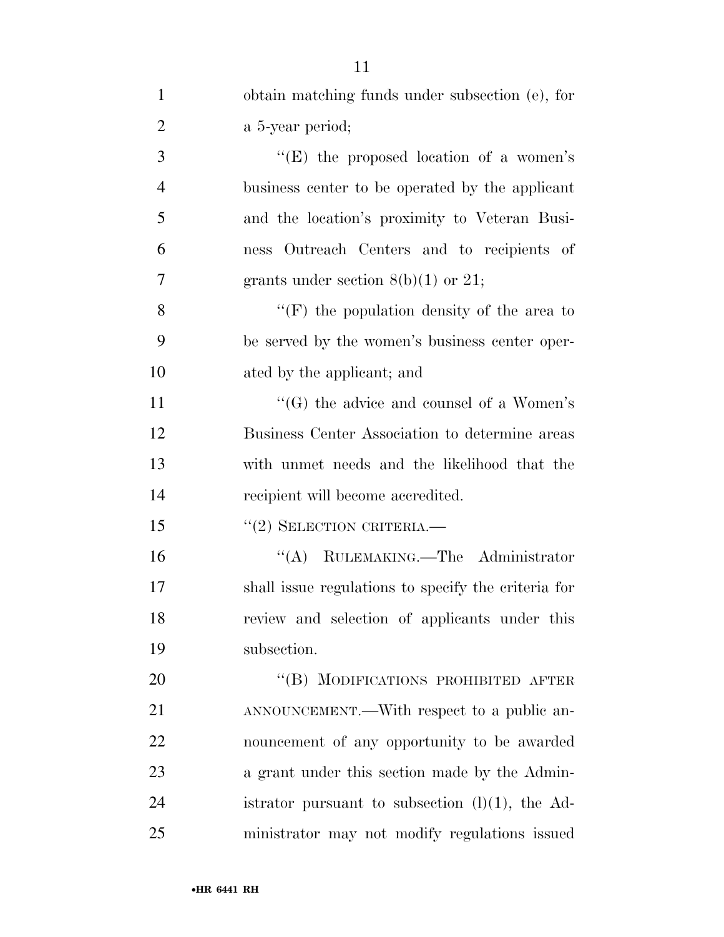| $\mathbf{1}$   | obtain matching funds under subsection (e), for     |
|----------------|-----------------------------------------------------|
| $\overline{2}$ | a 5-year period;                                    |
| 3              | "(E) the proposed location of a women's             |
| $\overline{4}$ | business center to be operated by the applicant     |
| 5              | and the location's proximity to Veteran Busi-       |
| 6              | ness Outreach Centers and to recipients of          |
| 7              | grants under section $8(b)(1)$ or 21;               |
| 8              | "(F) the population density of the area to          |
| 9              | be served by the women's business center oper-      |
| 10             | ated by the applicant; and                          |
| 11             | " $(G)$ the advice and counsel of a Women's         |
| 12             | Business Center Association to determine areas      |
| 13             | with unmet needs and the likelihood that the        |
| 14             | recipient will become accredited.                   |
| 15             | $``(2)$ SELECTION CRITERIA.—                        |
| 16             | "(A) RULEMAKING.—The Administrator                  |
| 17             | shall issue regulations to specify the criteria for |
| 18             | review and selection of applicants under this       |
| 19             | subsection.                                         |
| <b>20</b>      | "(B) MODIFICATIONS PROHIBITED AFTER                 |
| 21             | ANNOUNCEMENT.—With respect to a public an-          |
| 22             | nouncement of any opportunity to be awarded         |
| 23             | a grant under this section made by the Admin-       |
| 24             | istrator pursuant to subsection $(l)(1)$ , the Ad-  |
| 25             | ministrator may not modify regulations issued       |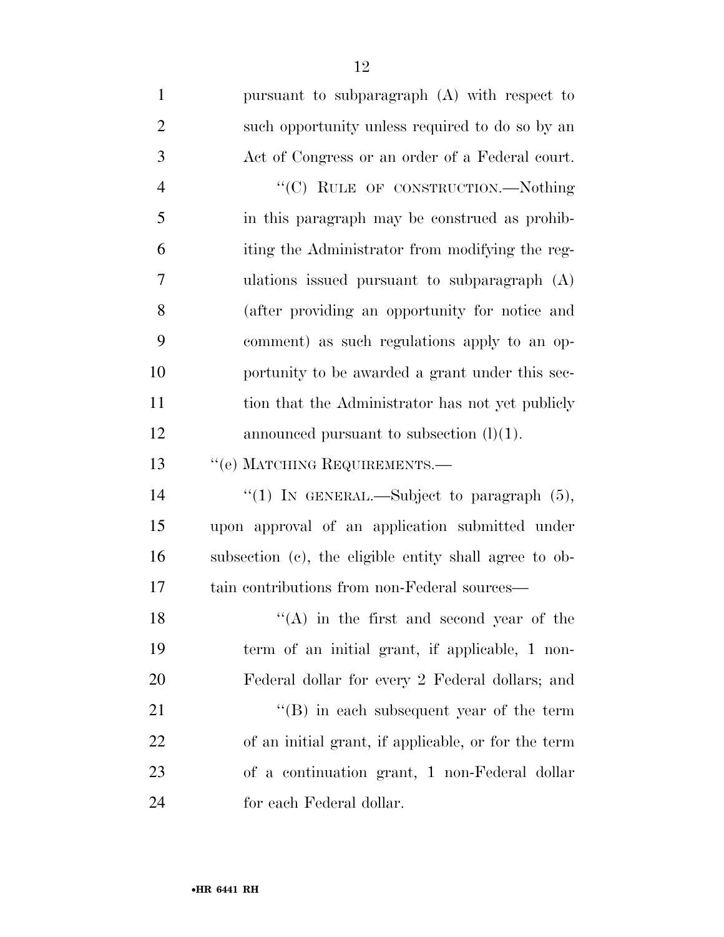| $\mathbf{1}$   | pursuant to subparagraph (A) with respect to           |
|----------------|--------------------------------------------------------|
| $\overline{2}$ | such opportunity unless required to do so by an        |
| 3              | Act of Congress or an order of a Federal court.        |
| $\overline{4}$ | "(C) RULE OF CONSTRUCTION.-Nothing                     |
| 5              | in this paragraph may be construed as prohib-          |
| 6              | iting the Administrator from modifying the reg-        |
| 7              | ulations issued pursuant to subparagraph $(A)$         |
| 8              | (after providing an opportunity for notice and         |
| 9              | comment) as such regulations apply to an op-           |
| 10             | portunity to be awarded a grant under this sec-        |
| 11             | tion that the Administrator has not yet publicly       |
| 12             | announced pursuant to subsection $(l)(1)$ .            |
| 13             | "(e) MATCHING REQUIREMENTS.-                           |
| 14             | "(1) IN GENERAL.—Subject to paragraph $(5)$ ,          |
| 15             | upon approval of an application submitted under        |
| 16             | subsection (c), the eligible entity shall agree to ob- |
| 17             | tain contributions from non-Federal sources—           |
| 18             | $\lq\lq$ in the first and second year of the           |
| 19             | term of an initial grant, if applicable, 1 non-        |
| 20             | Federal dollar for every 2 Federal dollars; and        |
| 21             | $\cdot$ (B) in each subsequent year of the term        |
| 22             | of an initial grant, if applicable, or for the term    |
| 23             | of a continuation grant, 1 non-Federal dollar          |
| 24             | for each Federal dollar.                               |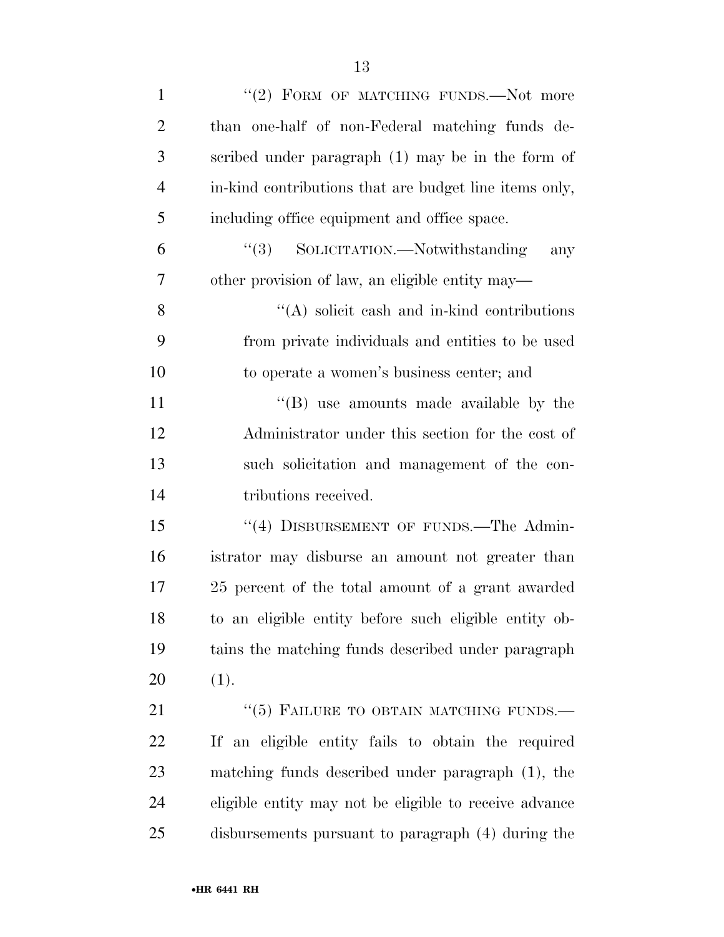| $\mathbf{1}$   | "(2) FORM OF MATCHING FUNDS.—Not more                  |
|----------------|--------------------------------------------------------|
| $\overline{c}$ | than one-half of non-Federal matching funds de-        |
| 3              | scribed under paragraph (1) may be in the form of      |
| $\overline{4}$ | in-kind contributions that are budget line items only, |
| 5              | including office equipment and office space.           |
| 6              | "(3) SOLICITATION.—Notwithstanding<br>any              |
| 7              | other provision of law, an eligible entity may—        |
| 8              | $\lq\lq$ solicit cash and in-kind contributions        |
| 9              | from private individuals and entities to be used       |
| 10             | to operate a women's business center; and              |
| 11             | $\lq\lq$ (B) use amounts made available by the         |
| 12             | Administrator under this section for the cost of       |
| 13             | such solicitation and management of the con-           |
| 14             | tributions received.                                   |
| 15             | "(4) DISBURSEMENT OF FUNDS.—The Admin-                 |
| 16             | istrator may disburse an amount not greater than       |
| 17             | 25 percent of the total amount of a grant awarded      |
| 18             | to an eligible entity before such eligible entity ob-  |
| 19             | tains the matching funds described under paragraph     |
| 20             | (1).                                                   |
| 21             | "(5) FAILURE TO OBTAIN MATCHING FUNDS.                 |
| 22             | If an eligible entity fails to obtain the required     |
| 23             | matching funds described under paragraph (1), the      |
| 24             | eligible entity may not be eligible to receive advance |
| 25             | disbursements pursuant to paragraph (4) during the     |
|                |                                                        |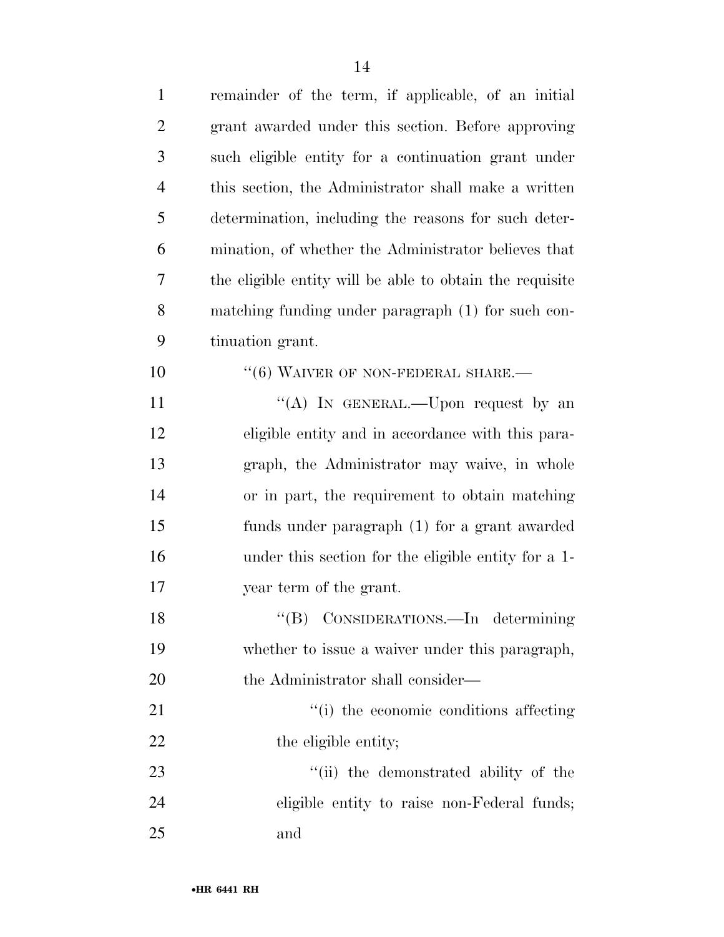| $\mathbf{1}$   | remainder of the term, if applicable, of an initial      |
|----------------|----------------------------------------------------------|
| $\overline{2}$ | grant awarded under this section. Before approving       |
| 3              | such eligible entity for a continuation grant under      |
| $\overline{4}$ | this section, the Administrator shall make a written     |
| 5              | determination, including the reasons for such deter-     |
| 6              | mination, of whether the Administrator believes that     |
| 7              | the eligible entity will be able to obtain the requisite |
| 8              | matching funding under paragraph (1) for such con-       |
| 9              | tinuation grant.                                         |
| 10             | $``(6)$ WAIVER OF NON-FEDERAL SHARE.—                    |
| 11             | "(A) In GENERAL.—Upon request by an                      |
| 12             | eligible entity and in accordance with this para-        |
| 13             | graph, the Administrator may waive, in whole             |
| 14             | or in part, the requirement to obtain matching           |
| 15             | funds under paragraph (1) for a grant awarded            |
| 16             | under this section for the eligible entity for a 1-      |
| 17             | year term of the grant.                                  |
| 18             | "(B) CONSIDERATIONS.—In determining                      |
| 19             | whether to issue a waiver under this paragraph,          |
| 20             | the Administrator shall consider—                        |
| 21             | "(i) the economic conditions affecting                   |
| 22             | the eligible entity;                                     |
| 23             | "(ii) the demonstrated ability of the                    |
| 24             | eligible entity to raise non-Federal funds;              |
| 25             | and                                                      |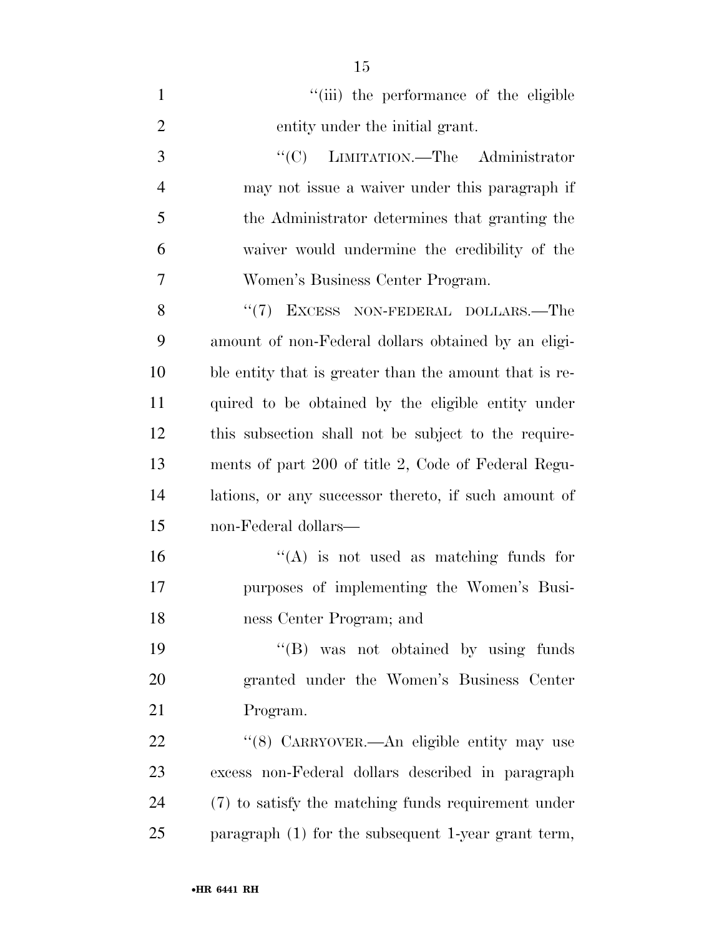| $\mathbf{1}$   | "(iii) the performance of the eligible                 |
|----------------|--------------------------------------------------------|
| $\overline{2}$ | entity under the initial grant.                        |
| 3              | "(C) LIMITATION.—The Administrator                     |
| $\overline{4}$ | may not issue a waiver under this paragraph if         |
| 5              | the Administrator determines that granting the         |
| 6              | waiver would undermine the credibility of the          |
| 7              | Women's Business Center Program.                       |
| 8              | $``(7)$ EXCESS NON-FEDERAL DOLLARS.—The                |
| 9              | amount of non-Federal dollars obtained by an eligi-    |
| 10             | ble entity that is greater than the amount that is re- |
| 11             | quired to be obtained by the eligible entity under     |
| 12             | this subsection shall not be subject to the require-   |
| 13             | ments of part 200 of title 2, Code of Federal Regu-    |
| 14             | lations, or any successor thereto, if such amount of   |
| 15             | non-Federal dollars—                                   |
| 16             | $\lq\lq$ is not used as matching funds for             |
| 17             | purposes of implementing the Women's Busi-             |
| 18             | ness Center Program; and                               |
| 19             | $\lq\lq(B)$ was not obtained by using funds            |
| 20             | granted under the Women's Business Center              |
| 21             | Program.                                               |
| 22             | "(8) CARRYOVER.—An eligible entity may use             |
| 23             | excess non-Federal dollars described in paragraph      |
| 24             | (7) to satisfy the matching funds requirement under    |
| 25             | paragraph $(1)$ for the subsequent 1-year grant term,  |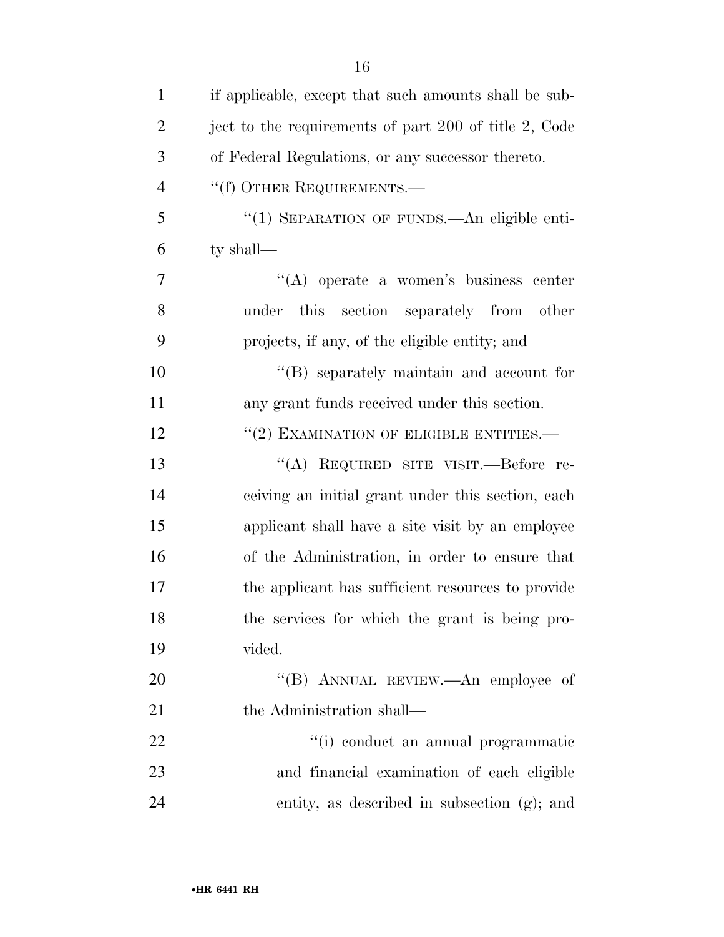| $\mathbf{1}$   | if applicable, except that such amounts shall be sub- |
|----------------|-------------------------------------------------------|
| $\overline{2}$ | ject to the requirements of part 200 of title 2, Code |
| 3              | of Federal Regulations, or any successor thereto.     |
| $\overline{4}$ | "(f) OTHER REQUIREMENTS.—                             |
| 5              | "(1) SEPARATION OF FUNDS.—An eligible enti-           |
| 6              | ty shall—                                             |
| $\overline{7}$ | "(A) operate a women's business center                |
| 8              | under this section separately from other              |
| 9              | projects, if any, of the eligible entity; and         |
| 10             | $\lq\lq$ separately maintain and account for          |
| 11             | any grant funds received under this section.          |
| 12             | $``(2)$ EXAMINATION OF ELIGIBLE ENTITIES.—            |
| 13             | "(A) REQUIRED SITE VISIT.—Before re-                  |
| 14             | ceiving an initial grant under this section, each     |
| 15             | applicant shall have a site visit by an employee      |
| 16             | of the Administration, in order to ensure that        |
| 17             | the applicant has sufficient resources to provide     |
| 18             | the services for which the grant is being pro-        |
| 19             | vided.                                                |
| 20             | "(B) ANNUAL REVIEW.—An employee of                    |
| 21             | the Administration shall—                             |
| 22             | "(i) conduct an annual programmatic                   |
| 23             | and financial examination of each eligible            |
| 24             | entity, as described in subsection (g); and           |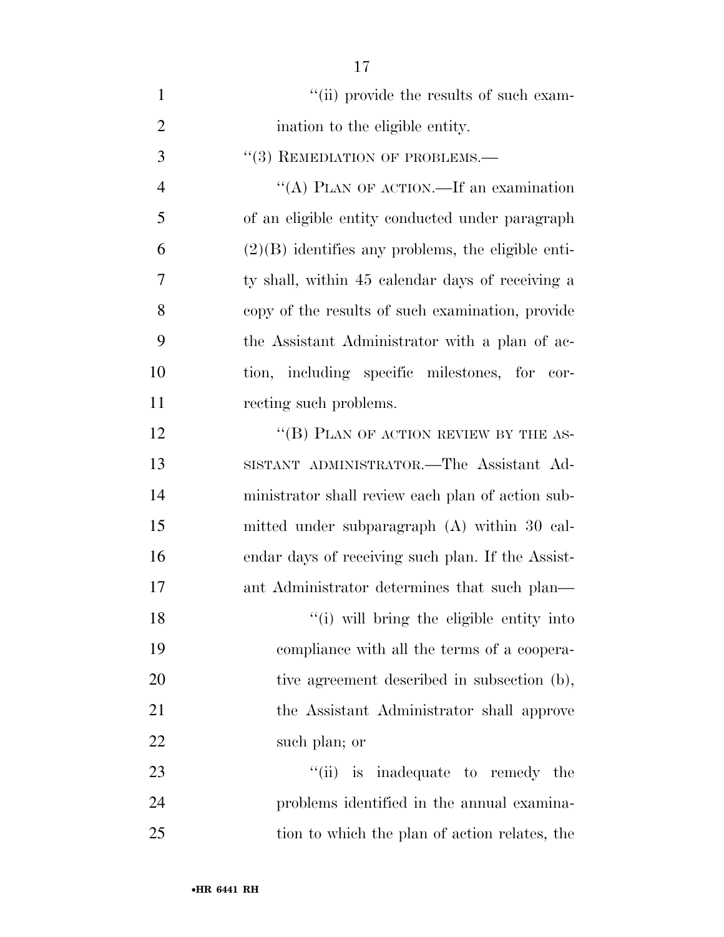| $\mathbf{1}$   | "(ii) provide the results of such exam-              |
|----------------|------------------------------------------------------|
| $\overline{2}$ | ination to the eligible entity.                      |
| 3              | $``(3)$ REMEDIATION OF PROBLEMS.—                    |
| $\overline{4}$ | "(A) PLAN OF ACTION.—If an examination               |
| 5              | of an eligible entity conducted under paragraph      |
| 6              | $(2)(B)$ identifies any problems, the eligible enti- |
| 7              | ty shall, within 45 calendar days of receiving a     |
| 8              | copy of the results of such examination, provide     |
| 9              | the Assistant Administrator with a plan of ac-       |
| 10             | tion, including specific milestones, for cor-        |
| 11             | recting such problems.                               |
| 12             | "(B) PLAN OF ACTION REVIEW BY THE AS-                |
| 13             | SISTANT ADMINISTRATOR.-The Assistant Ad-             |
| 14             | ministrator shall review each plan of action sub-    |
| 15             | mitted under subparagraph (A) within 30 cal-         |
| 16             | endar days of receiving such plan. If the Assist-    |
| 17             | ant Administrator determines that such plan—         |
| 18             | "(i) will bring the eligible entity into             |
| 19             | compliance with all the terms of a coopera-          |
| 20             | tive agreement described in subsection (b),          |
| 21             | the Assistant Administrator shall approve            |
| 22             | such plan; or                                        |
| 23             | "(ii) is inadequate to remedy the                    |
| 24             | problems identified in the annual examina-           |
| 25             | tion to which the plan of action relates, the        |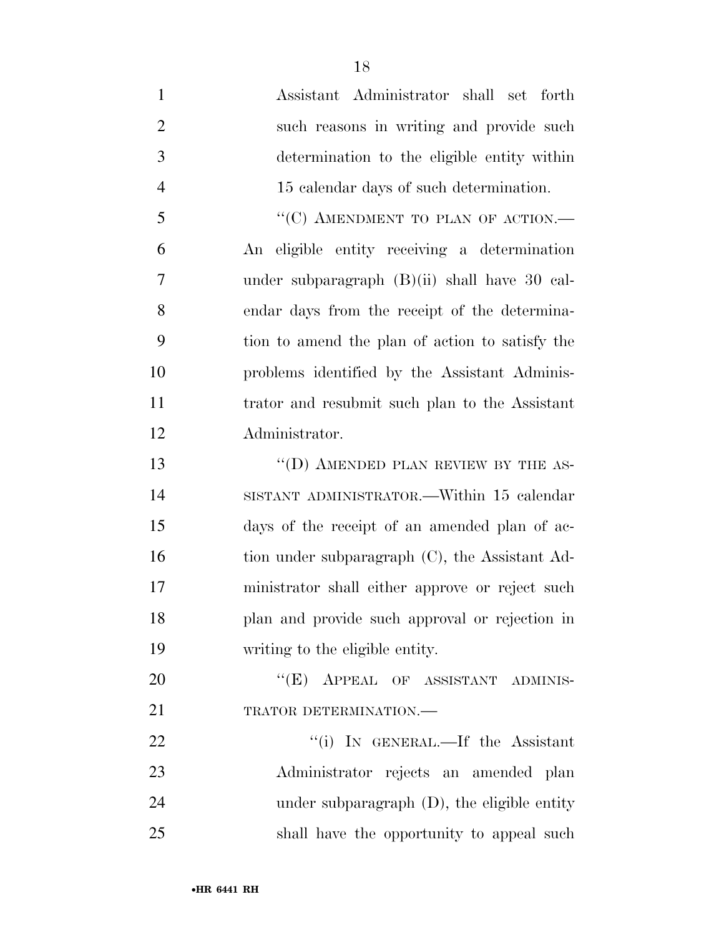Assistant Administrator shall set forth such reasons in writing and provide such determination to the eligible entity within 15 calendar days of such determination. 5 "(C) AMENDMENT TO PLAN OF ACTION.— An eligible entity receiving a determination under subparagraph (B)(ii) shall have 30 cal- endar days from the receipt of the determina- tion to amend the plan of action to satisfy the problems identified by the Assistant Adminis- trator and resubmit such plan to the Assistant Administrator. 13 "(D) AMENDED PLAN REVIEW BY THE AS-

 SISTANT ADMINISTRATOR.—Within 15 calendar days of the receipt of an amended plan of ac-16 tion under subparagraph (C), the Assistant Ad- ministrator shall either approve or reject such plan and provide such approval or rejection in writing to the eligible entity.

20 "(E) APPEAL OF ASSISTANT ADMINIS-21 TRATOR DETERMINATION.

22 ''(i) IN GENERAL.—If the Assistant Administrator rejects an amended plan under subparagraph (D), the eligible entity shall have the opportunity to appeal such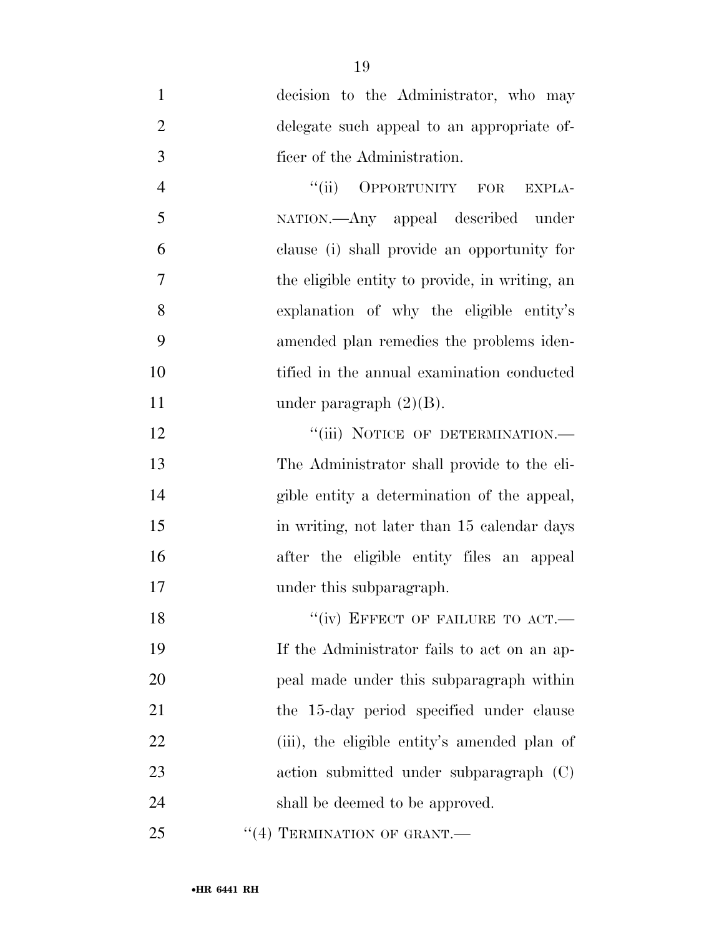| $\mathbf{1}$   | decision to the Administrator, who may         |
|----------------|------------------------------------------------|
| $\overline{2}$ | delegate such appeal to an appropriate of-     |
| 3              | ficer of the Administration.                   |
| $\overline{4}$ | "(ii) OPPORTUNITY FOR EXPLA-                   |
| 5              | NATION.—Any appeal described under             |
| 6              | clause (i) shall provide an opportunity for    |
| $\overline{7}$ | the eligible entity to provide, in writing, an |
| 8              | explanation of why the eligible entity's       |
| 9              | amended plan remedies the problems iden-       |
| 10             | tified in the annual examination conducted     |
| 11             | under paragraph $(2)(B)$ .                     |
| 12             | "(iii) NOTICE OF DETERMINATION.-               |
| 13             | The Administrator shall provide to the eli-    |
| 14             | gible entity a determination of the appeal,    |
| 15             | in writing, not later than 15 calendar days    |
| 16             | after the eligible entity files an appeal      |
| 17             | under this subparagraph.                       |
| 18             | "(iv) EFFECT OF FAILURE TO ACT.-               |
| 19             | If the Administrator fails to act on an ap-    |
| 20             | peal made under this subparagraph within       |
| 21             | the 15-day period specified under clause       |
| 22             | (iii), the eligible entity's amended plan of   |
| 23             | action submitted under subparagraph (C)        |
| 24             | shall be deemed to be approved.                |

25 "(4) TERMINATION OF GRANT.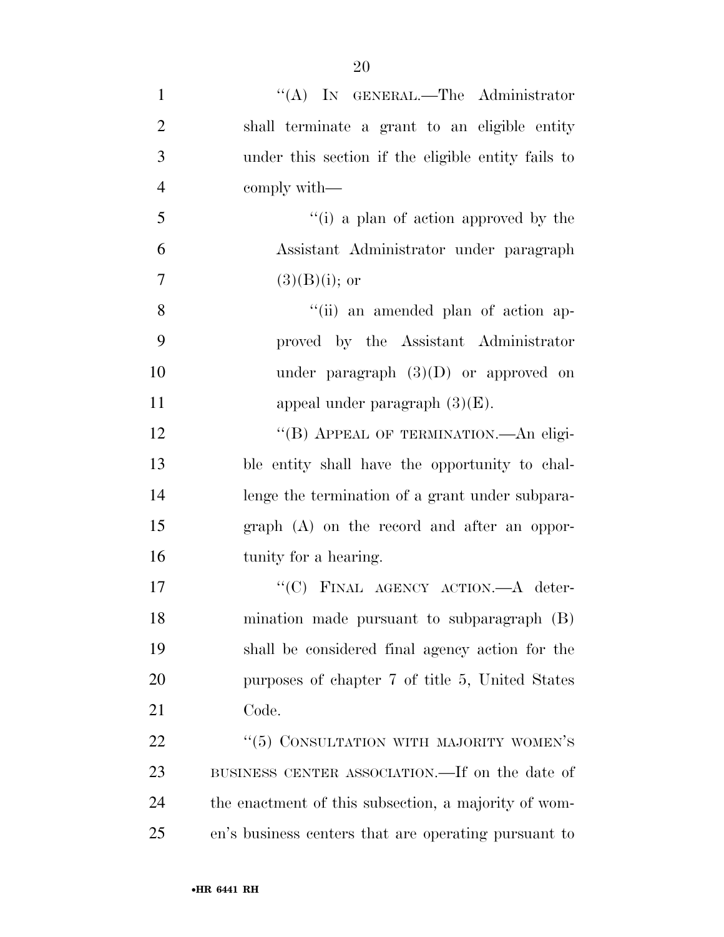1 "'(A) IN GENERAL.—The Administrator shall terminate a grant to an eligible entity under this section if the eligible entity fails to comply with— ''(i) a plan of action approved by the Assistant Administrator under paragraph  $(3)(B)(i)$ ; or ''(ii) an amended plan of action ap- proved by the Assistant Administrator under paragraph (3)(D) or approved on 11 appeal under paragraph  $(3)(E)$ . 12 "(B) APPEAL OF TERMINATION.—An eligi- ble entity shall have the opportunity to chal- lenge the termination of a grant under subpara- graph (A) on the record and after an oppor- tunity for a hearing. 17 "'(C) FINAL AGENCY ACTION.—A deter- mination made pursuant to subparagraph (B) shall be considered final agency action for the purposes of chapter 7 of title 5, United States

Code.

22 "(5) CONSULTATION WITH MAJORITY WOMEN'S BUSINESS CENTER ASSOCIATION.—If on the date of the enactment of this subsection, a majority of wom-en's business centers that are operating pursuant to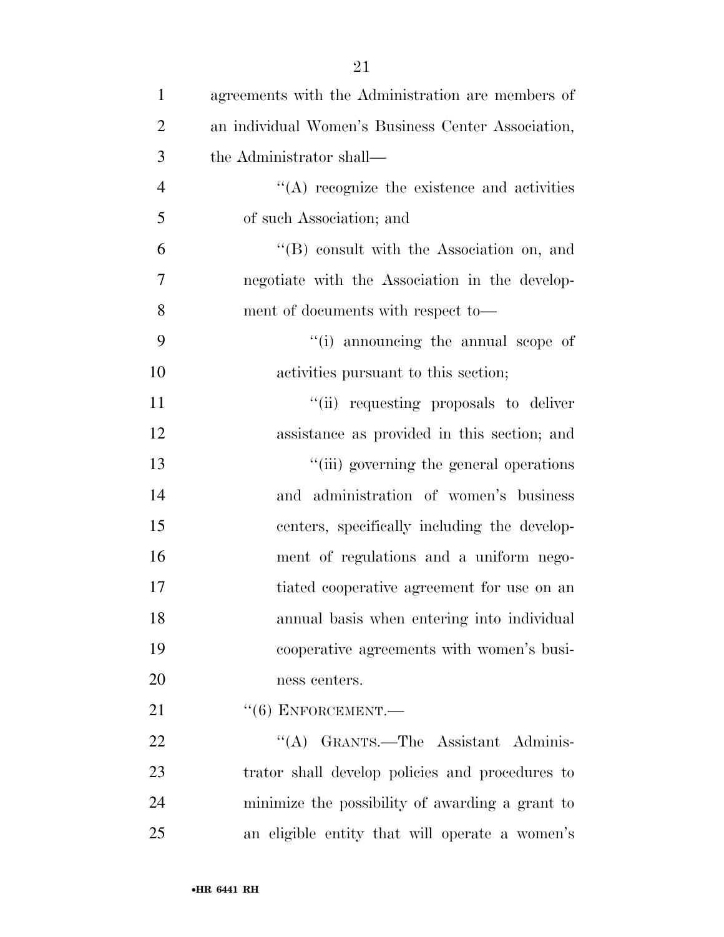| $\mathbf{1}$   | agreements with the Administration are members of  |
|----------------|----------------------------------------------------|
| $\overline{2}$ | an individual Women's Business Center Association, |
| 3              | the Administrator shall—                           |
| $\overline{4}$ | $\cdot$ (A) recognize the existence and activities |
| 5              | of such Association; and                           |
| 6              | $\lq\lq$ consult with the Association on, and      |
| 7              | negotiate with the Association in the develop-     |
| 8              | ment of documents with respect to-                 |
| 9              | "(i) announcing the annual scope of                |
| 10             | activities pursuant to this section;               |
| 11             | "(ii) requesting proposals to deliver              |
| 12             | assistance as provided in this section; and        |
| 13             | "(iii) governing the general operations            |
| 14             | and administration of women's business             |
| 15             | centers, specifically including the develop-       |
| 16             | ment of regulations and a uniform nego-            |
| 17             | tiated cooperative agreement for use on an         |
| 18             | annual basis when entering into individual         |
| 19             | cooperative agreements with women's busi-          |
| 20             | ness centers.                                      |
| 21             | $``(6)$ ENFORCEMENT.—                              |
| 22             | "(A) GRANTS.—The Assistant Adminis-                |
| 23             | trator shall develop policies and procedures to    |
| 24             | minimize the possibility of awarding a grant to    |
| 25             | an eligible entity that will operate a women's     |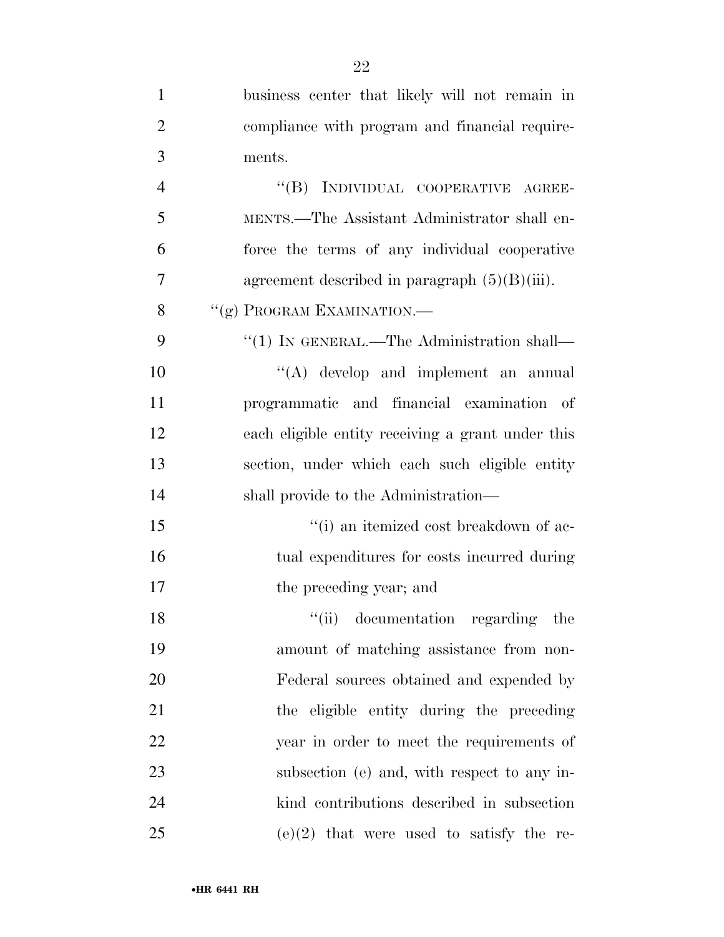| 1              | business center that likely will not remain in    |
|----------------|---------------------------------------------------|
| $\overline{2}$ | compliance with program and financial require-    |
| 3              | ments.                                            |
| $\overline{4}$ | "(B) INDIVIDUAL COOPERATIVE AGREE-                |
| 5              | MENTS.—The Assistant Administrator shall en-      |
| 6              | force the terms of any individual cooperative     |
| 7              | agreement described in paragraph $(5)(B)(iii)$ .  |
| 8              | "(g) PROGRAM EXAMINATION.—                        |
| 9              | "(1) IN GENERAL.—The Administration shall—        |
| 10             | "(A) develop and implement an annual              |
| 11             | programmatic and financial examination of         |
| 12             | each eligible entity receiving a grant under this |
| 13             | section, under which each such eligible entity    |
| 14             | shall provide to the Administration—              |
| 15             | "(i) an itemized cost breakdown of ac-            |
| 16             | tual expenditures for costs incurred during       |
| 17             | the preceding year; and                           |
| 18             | "(ii) documentation regarding the                 |
| 19             | amount of matching assistance from non-           |
| 20             | Federal sources obtained and expended by          |
| 21             | the eligible entity during the preceding          |
| 22             | year in order to meet the requirements of         |
| 23             | subsection (e) and, with respect to any in-       |
| 24             | kind contributions described in subsection        |
| 25             | $(e)(2)$ that were used to satisfy the re-        |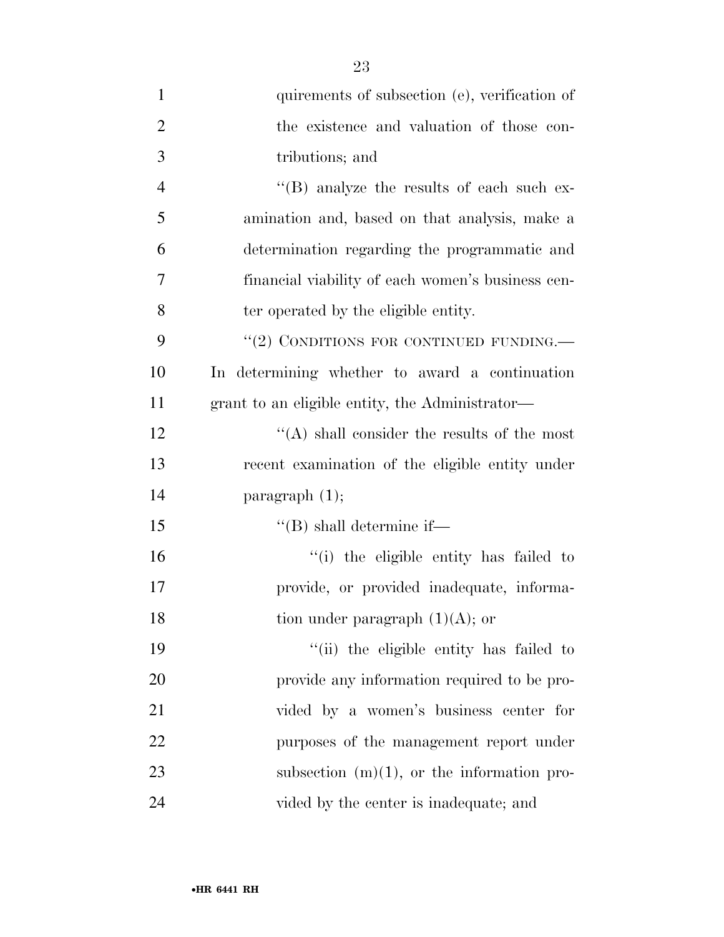| $\mathbf{1}$   | quirements of subsection (e), verification of     |
|----------------|---------------------------------------------------|
| $\overline{2}$ | the existence and valuation of those con-         |
| 3              | tributions; and                                   |
| $\overline{4}$ | $\lq\lq$ (B) analyze the results of each such ex- |
| 5              | amination and, based on that analysis, make a     |
| 6              | determination regarding the programmatic and      |
| 7              | financial viability of each women's business cen- |
| 8              | ter operated by the eligible entity.              |
| 9              | "(2) CONDITIONS FOR CONTINUED FUNDING.—           |
| 10             | In determining whether to award a continuation    |
| 11             | grant to an eligible entity, the Administrator—   |
| 12             | $\lq\lq$ shall consider the results of the most   |
| 13             | recent examination of the eligible entity under   |
| 14             | paragraph $(1)$ ;                                 |
| 15             | $\lq\lq$ (B) shall determine if—                  |
| 16             | "(i) the eligible entity has failed to            |
| 17             | provide, or provided inadequate, informa-         |
| 18             | tion under paragraph $(1)(A)$ ; or                |
| 19             | "(ii) the eligible entity has failed to           |
| 20             | provide any information required to be pro-       |
| 21             | vided by a women's business center for            |
| 22             | purposes of the management report under           |
| 23             | subsection $(m)(1)$ , or the information pro-     |
| 24             | vided by the center is inadequate; and            |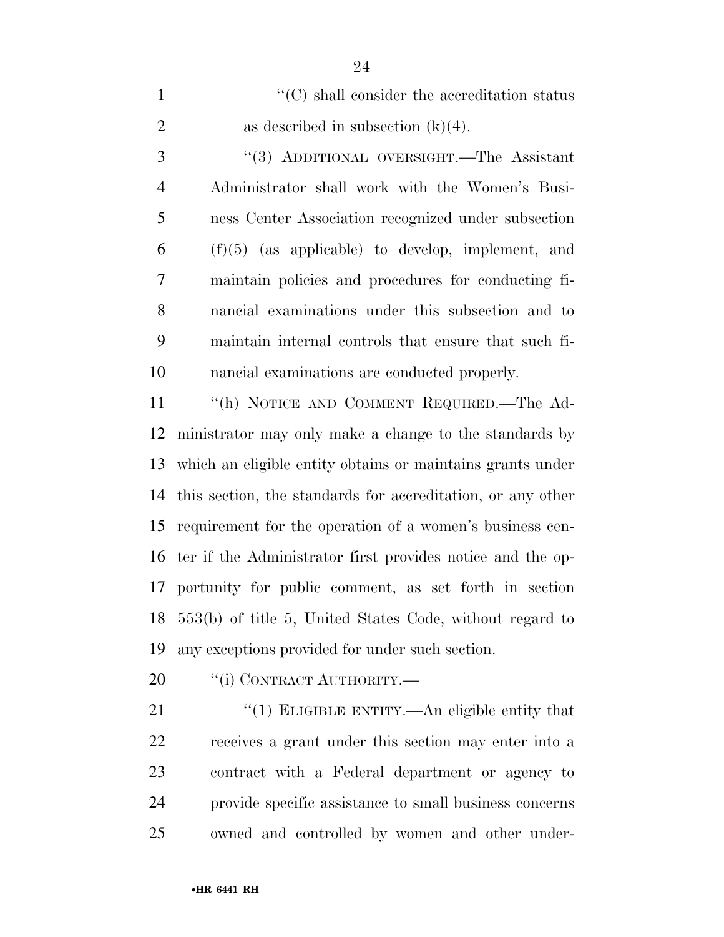1  $\cdot$  (C) shall consider the accreditation status 2 as described in subsection  $(k)(4)$ .

 ''(3) ADDITIONAL OVERSIGHT.—The Assistant Administrator shall work with the Women's Busi- ness Center Association recognized under subsection (f)(5) (as applicable) to develop, implement, and maintain policies and procedures for conducting fi- nancial examinations under this subsection and to maintain internal controls that ensure that such fi-nancial examinations are conducted properly.

 ''(h) NOTICE AND COMMENT REQUIRED.—The Ad- ministrator may only make a change to the standards by which an eligible entity obtains or maintains grants under this section, the standards for accreditation, or any other requirement for the operation of a women's business cen- ter if the Administrator first provides notice and the op- portunity for public comment, as set forth in section 553(b) of title 5, United States Code, without regard to any exceptions provided for under such section.

20 <sup>"</sup>(i) CONTRACT AUTHORITY.—

21 "(1) ELIGIBLE ENTITY.—An eligible entity that receives a grant under this section may enter into a contract with a Federal department or agency to provide specific assistance to small business concerns owned and controlled by women and other under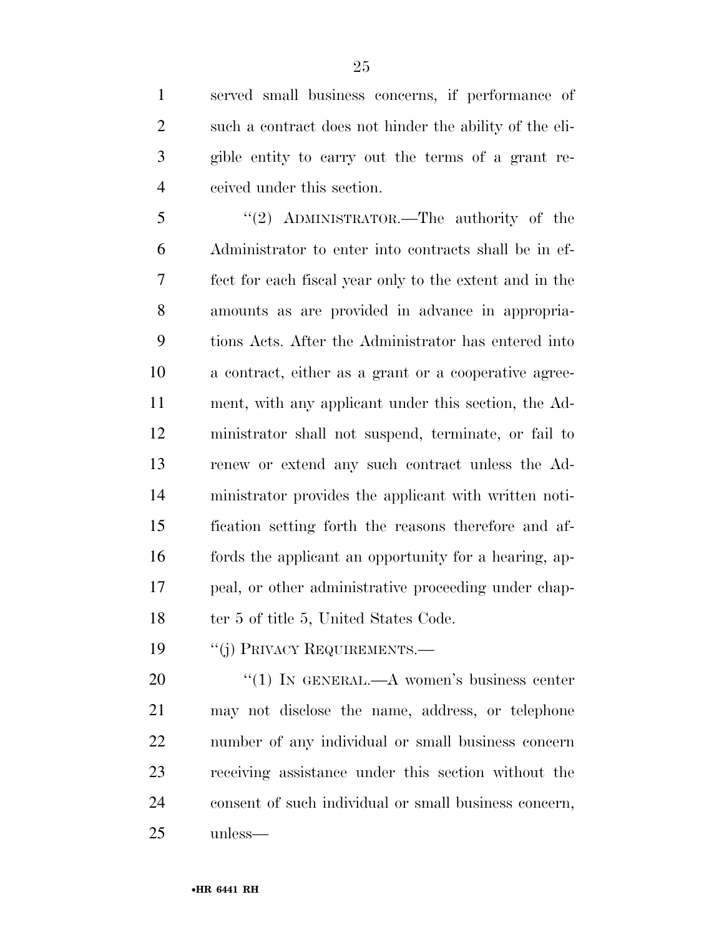served small business concerns, if performance of such a contract does not hinder the ability of the eli- gible entity to carry out the terms of a grant re-ceived under this section.

5 "(2) ADMINISTRATOR.—The authority of the Administrator to enter into contracts shall be in ef- fect for each fiscal year only to the extent and in the amounts as are provided in advance in appropria- tions Acts. After the Administrator has entered into a contract, either as a grant or a cooperative agree- ment, with any applicant under this section, the Ad- ministrator shall not suspend, terminate, or fail to renew or extend any such contract unless the Ad- ministrator provides the applicant with written noti- fication setting forth the reasons therefore and af- fords the applicant an opportunity for a hearing, ap- peal, or other administrative proceeding under chap-18 ter 5 of title 5, United States Code.

19 "(j) PRIVACY REQUIREMENTS.—

20 "(1) IN GENERAL.—A women's business center may not disclose the name, address, or telephone number of any individual or small business concern receiving assistance under this section without the consent of such individual or small business concern, unless—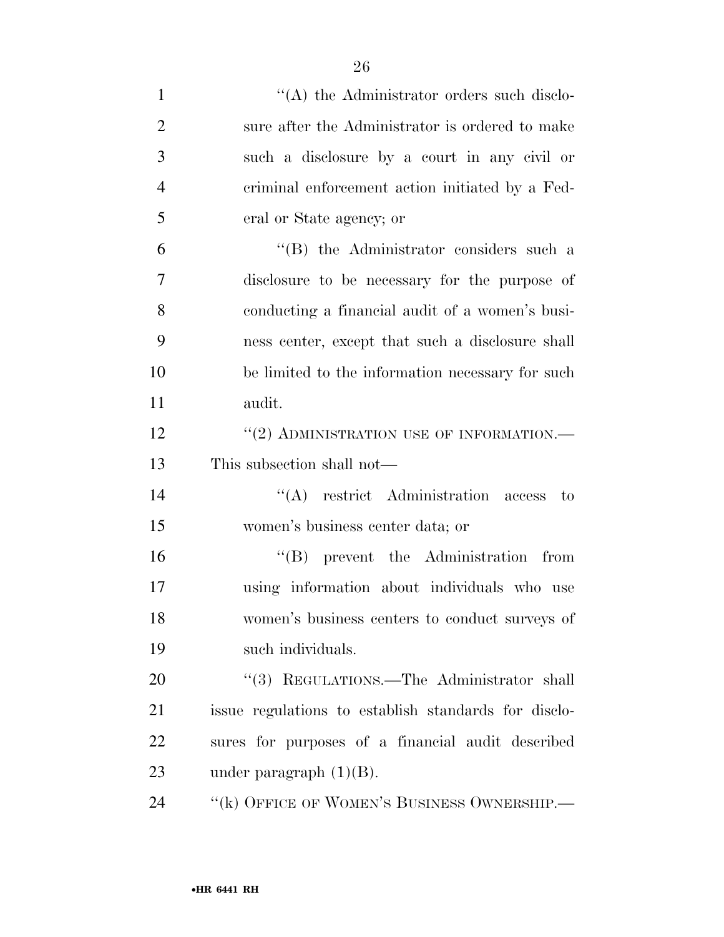| $\mathbf{1}$   | $\lq\lq$ the Administrator orders such disclo-       |
|----------------|------------------------------------------------------|
| $\overline{2}$ | sure after the Administrator is ordered to make      |
| 3              | such a disclosure by a court in any civil or         |
| $\overline{4}$ | criminal enforcement action initiated by a Fed-      |
| 5              | eral or State agency; or                             |
| 6              | $\lq\lq$ the Administrator considers such a          |
| $\overline{7}$ | disclosure to be necessary for the purpose of        |
| 8              | conducting a financial audit of a women's busi-      |
| 9              | ness center, except that such a disclosure shall     |
| 10             | be limited to the information necessary for such     |
| 11             | audit.                                               |
| 12             | $``(2)$ ADMINISTRATION USE OF INFORMATION.—          |
| 13             | This subsection shall not—                           |
| 14             | $\lq\lq$ restrict Administration access to           |
| 15             | women's business center data; or                     |
| 16             | $\lq\lq(B)$ prevent the Administration from          |
| 17             | using information about individuals who use          |
| 18             | women's business centers to conduct surveys of       |
| 19             | such individuals.                                    |
| 20             | "(3) REGULATIONS.—The Administrator shall            |
| 21             | issue regulations to establish standards for disclo- |
| 22             | sures for purposes of a financial audit described    |
| 23             | under paragraph $(1)(B)$ .                           |
|                |                                                      |

24 ''(k) OFFICE OF WOMEN'S BUSINESS OWNERSHIP.—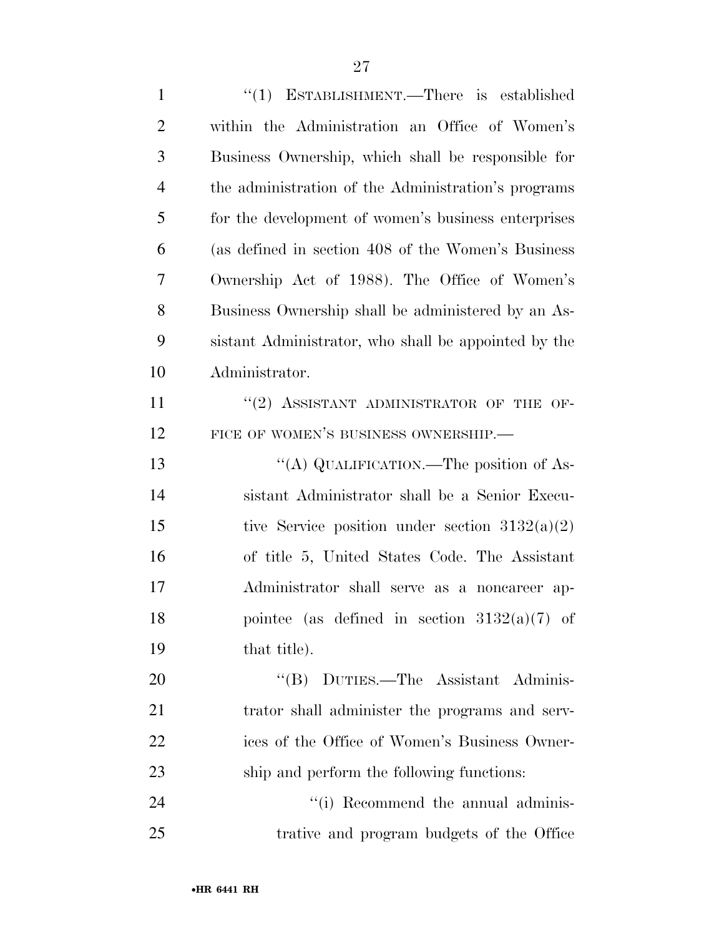| $\mathbf{1}$   | " $(1)$ ESTABLISHMENT.—There is established          |
|----------------|------------------------------------------------------|
| $\overline{2}$ | within the Administration an Office of Women's       |
| 3              | Business Ownership, which shall be responsible for   |
| $\overline{4}$ | the administration of the Administration's programs  |
| 5              | for the development of women's business enterprises  |
| 6              | (as defined in section 408 of the Women's Business   |
| 7              | Ownership Act of 1988). The Office of Women's        |
| 8              | Business Ownership shall be administered by an As-   |
| 9              | sistant Administrator, who shall be appointed by the |
| 10             | Administrator.                                       |
| 11             | $``(2)$ ASSISTANT ADMINISTRATOR OF THE OF-           |
| 12             | FICE OF WOMEN'S BUSINESS OWNERSHIP.                  |
| 13             | "(A) QUALIFICATION.—The position of As-              |
| 14             | sistant Administrator shall be a Senior Execu-       |
| 15             | tive Service position under section $3132(a)(2)$     |
| 16             | of title 5, United States Code. The Assistant        |
| 17             | Administrator shall serve as a noncareer ap-         |
| 18             | pointee (as defined in section $3132(a)(7)$ of       |
| 19             | that title).                                         |
| 20             | "(B) DUTIES.—The Assistant Adminis-                  |
| 21             | trator shall administer the programs and serv-       |
| 22             | ices of the Office of Women's Business Owner-        |
| 23             | ship and perform the following functions:            |
| 24             | "(i) Recommend the annual adminis-                   |
| 25             | trative and program budgets of the Office            |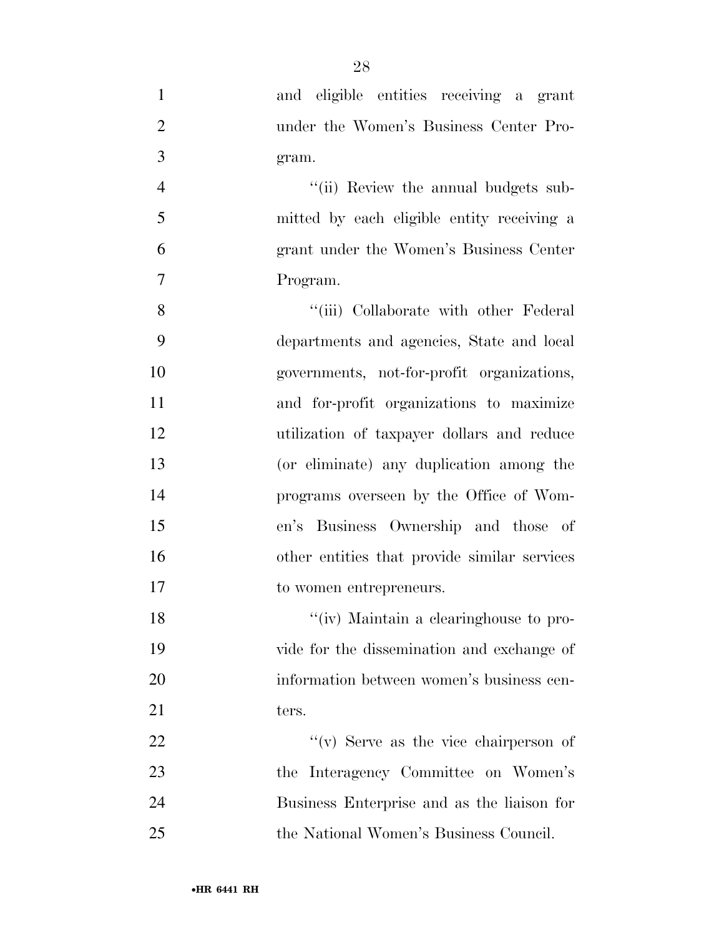- and eligible entities receiving a grant under the Women's Business Center Pro- gram. 4 ''(ii) Review the annual budgets sub- mitted by each eligible entity receiving a grant under the Women's Business Center Program. 8 ''(iii) Collaborate with other Federal departments and agencies, State and local governments, not-for-profit organizations, and for-profit organizations to maximize utilization of taxpayer dollars and reduce (or eliminate) any duplication among the programs overseen by the Office of Wom- en's Business Ownership and those of other entities that provide similar services to women entrepreneurs. 18 ''(iv) Maintain a clearinghouse to pro- vide for the dissemination and exchange of information between women's business cen-21 ters.  $\mathcal{L}(v)$  Serve as the vice chairperson of the Interagency Committee on Women's Business Enterprise and as the liaison for
- the National Women's Business Council.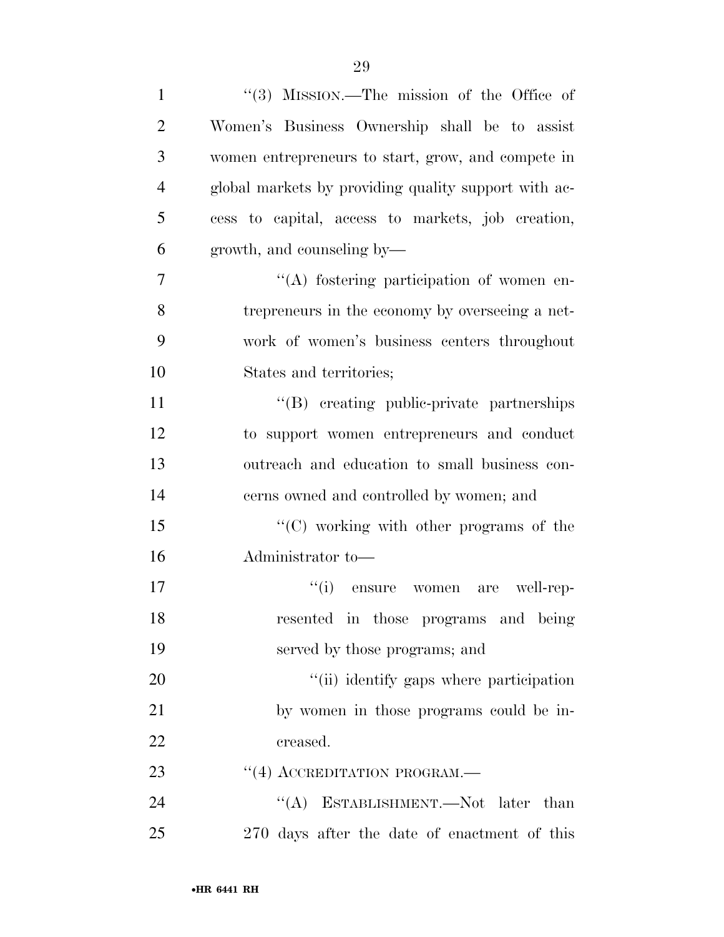| $\mathbf{1}$   | $\lq(3)$ MISSION.—The mission of the Office of       |
|----------------|------------------------------------------------------|
| $\overline{2}$ | Women's Business Ownership shall be to assist        |
| 3              | women entrepreneurs to start, grow, and compete in   |
| $\overline{4}$ | global markets by providing quality support with ac- |
| 5              | cess to capital, access to markets, job creation,    |
| 6              | growth, and counseling by—                           |
| 7              | "(A) fostering participation of women en-            |
| 8              | trepreneurs in the economy by overseeing a net-      |
| 9              | work of women's business centers throughout          |
| 10             | States and territories;                              |
| 11             | "(B) creating public-private partnerships            |
| 12             | to support women entrepreneurs and conduct           |
| 13             | outreach and education to small business con-        |
| 14             | cerns owned and controlled by women; and             |
| 15             | "(C) working with other programs of the              |
| 16             | Administrator to-                                    |
| 17             | ``(i)<br>well-rep-<br>ensure<br>women<br>are         |
| 18             | resented in those programs and being                 |
| 19             | served by those programs; and                        |
| 20             | "(ii) identify gaps where participation              |
| 21             | by women in those programs could be in-              |
| 22             | creased.                                             |
| 23             | $\lq(4)$ ACCREDITATION PROGRAM.—                     |
| 24             | "(A) ESTABLISHMENT.—Not later than                   |
| 25             | 270 days after the date of enactment of this         |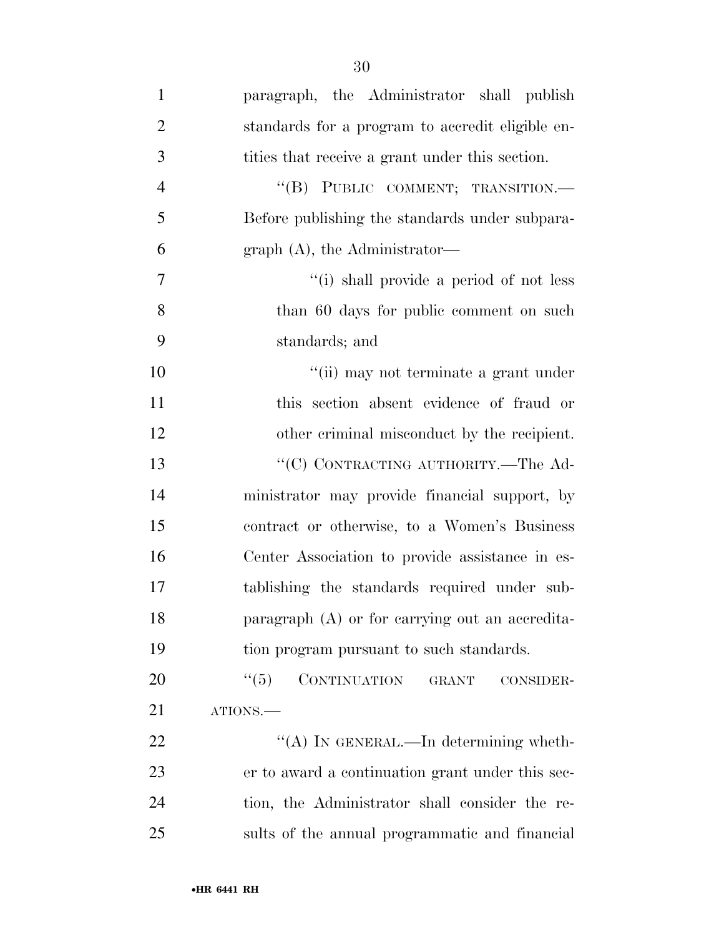| $\mathbf{1}$   | paragraph, the Administrator shall publish       |
|----------------|--------------------------------------------------|
| $\overline{2}$ | standards for a program to accredit eligible en- |
| 3              | tities that receive a grant under this section.  |
| $\overline{4}$ | "(B) PUBLIC COMMENT; TRANSITION.-                |
| 5              | Before publishing the standards under subpara-   |
| 6              | graph $(A)$ , the Administrator—                 |
| $\overline{7}$ | "(i) shall provide a period of not less          |
| 8              | than 60 days for public comment on such          |
| 9              | standards; and                                   |
| 10             | "(ii) may not terminate a grant under            |
| 11             | this section absent evidence of fraud or         |
| 12             | other criminal misconduct by the recipient.      |
| 13             | "(C) CONTRACTING AUTHORITY.—The Ad-              |
| 14             | ministrator may provide financial support, by    |
| 15             | contract or otherwise, to a Women's Business     |
| 16             | Center Association to provide assistance in es-  |

 ministrator may provide financial support, by contract or otherwise, to a Women's Business Center Association to provide assistance in es- tablishing the standards required under sub- paragraph (A) or for carrying out an accredita-tion program pursuant to such standards.

20 "(5) CONTINUATION GRANT CONSIDER-ATIONS.—

 $\text{``(A)}$  In GENERAL.—In determining wheth- er to award a continuation grant under this sec- tion, the Administrator shall consider the re-sults of the annual programmatic and financial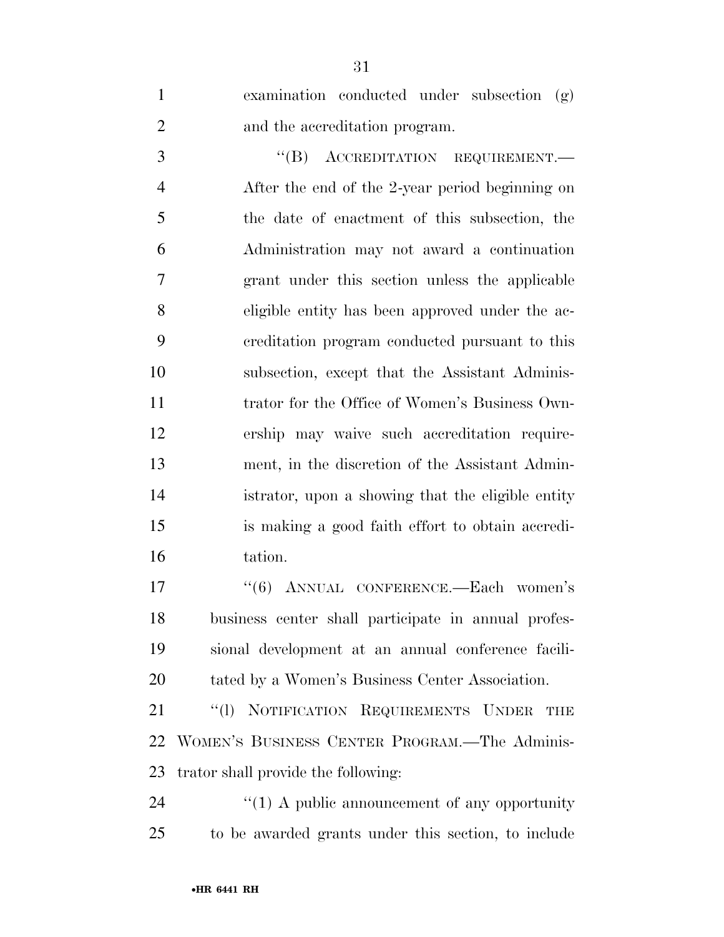examination conducted under subsection (g) and the accreditation program.

3 "(B) ACCREDITATION REQUIREMENT.— After the end of the 2-year period beginning on the date of enactment of this subsection, the Administration may not award a continuation grant under this section unless the applicable eligible entity has been approved under the ac- creditation program conducted pursuant to this subsection, except that the Assistant Adminis-11 trator for the Office of Women's Business Own- ership may waive such accreditation require- ment, in the discretion of the Assistant Admin- istrator, upon a showing that the eligible entity is making a good faith effort to obtain accredi-tation.

17 ''(6) ANNUAL CONFERENCE.—Each women's business center shall participate in annual profes- sional development at an annual conference facili-tated by a Women's Business Center Association.

21 "(1) NOTIFICATION REQUIREMENTS UNDER THE WOMEN'S BUSINESS CENTER PROGRAM.—The Adminis-trator shall provide the following:

24  $\frac{1}{2}$  (1) A public announcement of any opportunity to be awarded grants under this section, to include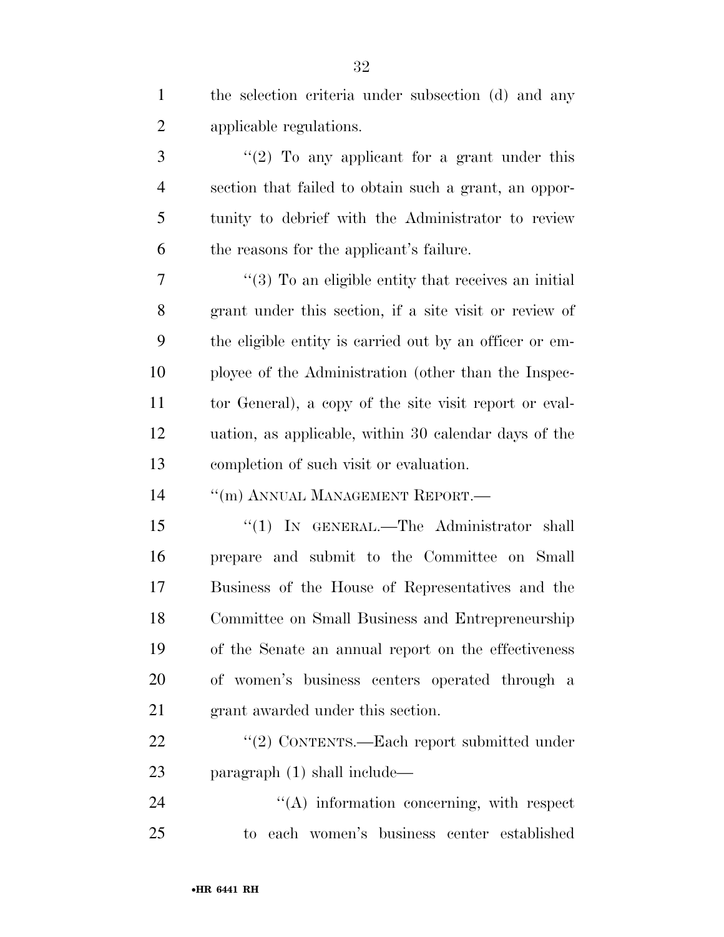| $\mathbf{1}$   | the selection criteria under subsection (d) and any             |
|----------------|-----------------------------------------------------------------|
| $\overline{c}$ | applicable regulations.                                         |
| 3              | "(2) To any applicant for a grant under this                    |
| $\overline{4}$ | section that failed to obtain such a grant, an oppor-           |
| 5              | tunity to debrief with the Administrator to review              |
| 6              | the reasons for the applicant's failure.                        |
| 7              | $\cdot\cdot$ (3) To an eligible entity that receives an initial |
| 8              | grant under this section, if a site visit or review of          |
| 9              | the eligible entity is carried out by an officer or em-         |
| 10             | ployee of the Administration (other than the Inspec-            |
| 11             | tor General), a copy of the site visit report or eval-          |
| 12             | uation, as applicable, within 30 calendar days of the           |
| 13             | completion of such visit or evaluation.                         |
| 14             | "(m) ANNUAL MANAGEMENT REPORT.—                                 |
| 15             | "(1) IN GENERAL.—The Administrator shall                        |
| 16             | prepare and submit to the Committee on Small                    |
| 17             | Business of the House of Representatives and the                |
| 18             | Committee on Small Business and Entrepreneurship                |
| 19             | of the Senate an annual report on the effectiveness             |
| 20             | of women's business centers operated through a                  |
| 21             | grant awarded under this section.                               |
| 22             | "(2) CONTENTS.—Each report submitted under                      |
| 23             | paragraph $(1)$ shall include—                                  |
| 24             | "(A) information concerning, with respect                       |
| 25             | to each women's business center established                     |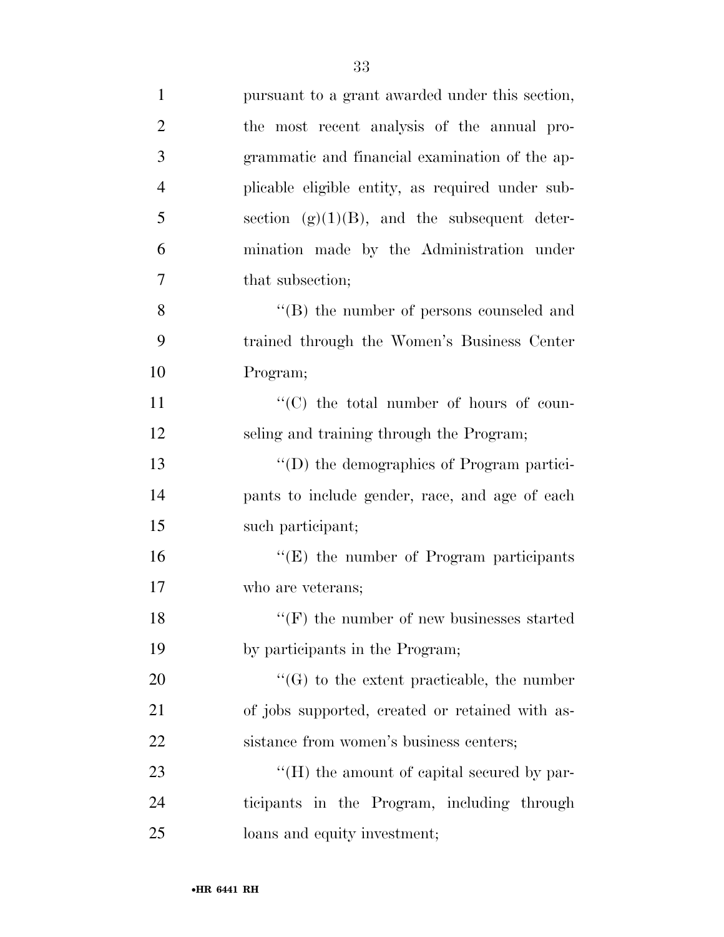| $\mathbf{1}$   | pursuant to a grant awarded under this section,    |
|----------------|----------------------------------------------------|
| $\overline{2}$ | the most recent analysis of the annual pro-        |
| 3              | grammatic and financial examination of the ap-     |
| $\overline{4}$ | plicable eligible entity, as required under sub-   |
| 5              | section $(g)(1)(B)$ , and the subsequent deter-    |
| 6              | mination made by the Administration under          |
| $\overline{7}$ | that subsection;                                   |
| 8              | $\lq\lq$ the number of persons counseled and       |
| 9              | trained through the Women's Business Center        |
| 10             | Program;                                           |
| 11             | "(C) the total number of hours of coun-            |
| 12             | seling and training through the Program;           |
| 13             | "(D) the demographics of Program partici-          |
| 14             | pants to include gender, race, and age of each     |
| 15             | such participant;                                  |
| 16             | "(E) the number of Program participants            |
| 17             | who are veterans;                                  |
| 18             | $\lq\lq (F)$ the number of new businesses started  |
| 19             | by participants in the Program;                    |
| 20             | $\lq\lq(G)$ to the extent practicable, the number  |
| 21             | of jobs supported, created or retained with as-    |
| 22             | sistance from women's business centers;            |
| 23             | $\lq\lq (H)$ the amount of capital secured by par- |
| 24             | ticipants in the Program, including through        |
| 25             | loans and equity investment;                       |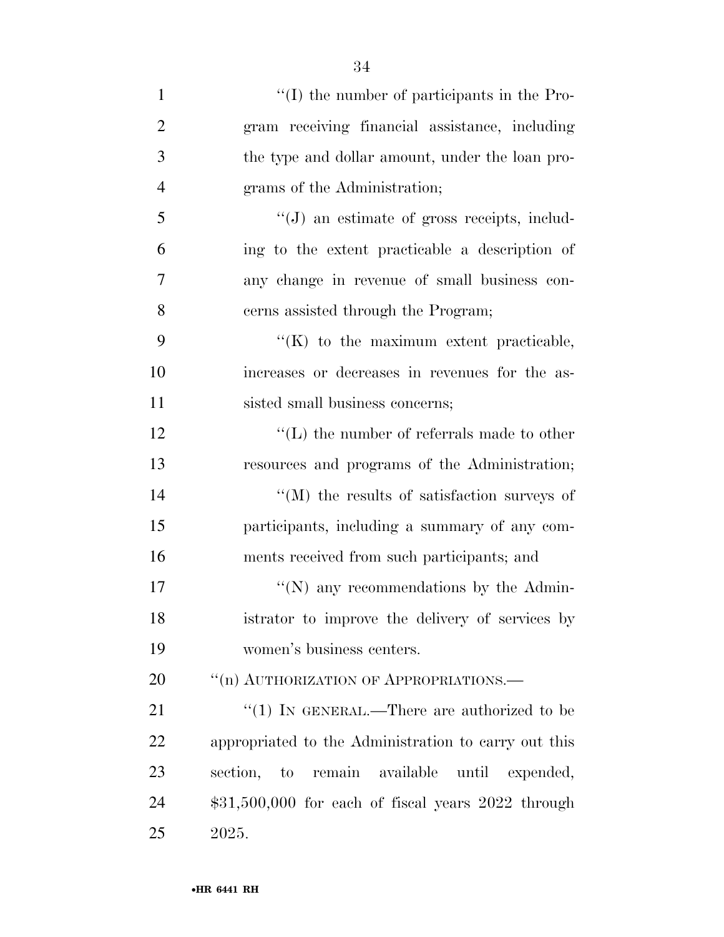| 1              | $\lq\lq$ (I) the number of participants in the Pro-      |
|----------------|----------------------------------------------------------|
| $\overline{2}$ | gram receiving financial assistance, including           |
| 3              | the type and dollar amount, under the loan pro-          |
| $\overline{4}$ | grams of the Administration;                             |
| 5              | $\lq\lq(J)$ an estimate of gross receipts, includ-       |
| 6              | ing to the extent practicable a description of           |
| 7              | any change in revenue of small business con-             |
| 8              | cerns assisted through the Program;                      |
| 9              | $\lq\lq$ (K) to the maximum extent practicable,          |
| 10             | increases or decreases in revenues for the as-           |
| 11             | sisted small business concerns;                          |
| 12             | $\lq\lq$ . The number of referrals made to other         |
| 13             | resources and programs of the Administration;            |
| 14             | $\lq\lq$ (M) the results of satisfaction surveys of      |
| 15             | participants, including a summary of any com-            |
| 16             | ments received from such participants; and               |
| 17             | "(N) any recommendations by the Admin-                   |
| 18             | istrator to improve the delivery of services by          |
| 19             | women's business centers.                                |
| 20             | "(n) AUTHORIZATION OF APPROPRIATIONS.—                   |
| 21             | " $(1)$ IN GENERAL.—There are authorized to be           |
| 22             | appropriated to the Administration to carry out this     |
| 23             | section, to<br>remain<br>available<br>until<br>expended, |
| 24             | $$31,500,000$ for each of fiscal years $2022$ through    |
| 25             | 2025.                                                    |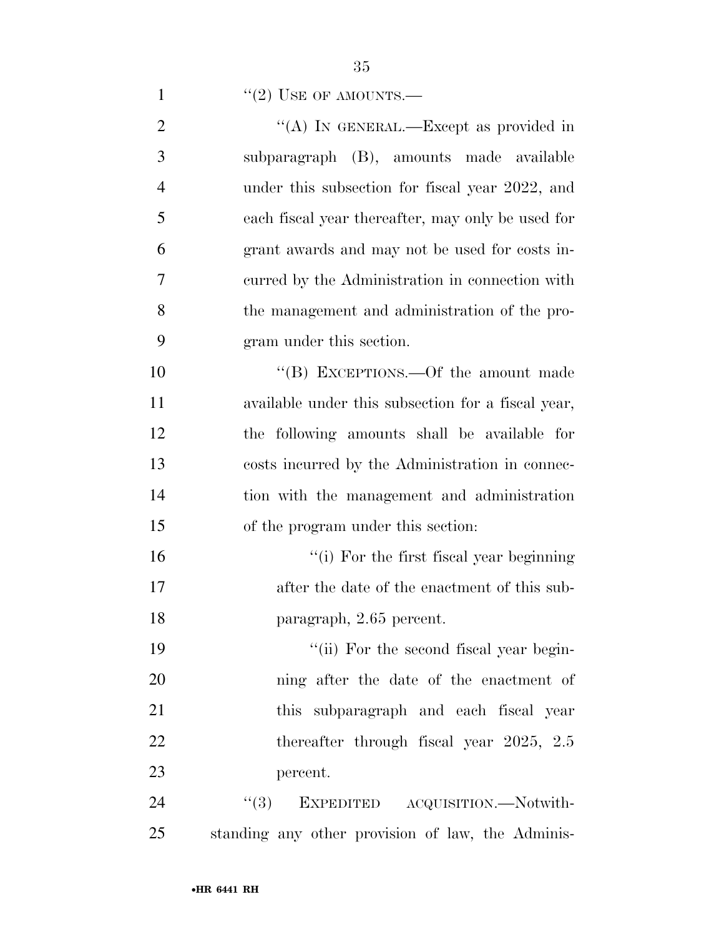|  |  | "(2) USE OF AMOUNTS.— |
|--|--|-----------------------|
|  |  |                       |

| $\overline{2}$ | "(A) IN GENERAL.—Except as provided in             |
|----------------|----------------------------------------------------|
| 3              | subparagraph (B), amounts made available           |
| $\overline{4}$ | under this subsection for fiscal year 2022, and    |
| 5              | each fiscal year thereafter, may only be used for  |
| 6              | grant awards and may not be used for costs in-     |
| $\overline{7}$ | curred by the Administration in connection with    |
| 8              | the management and administration of the pro-      |
| 9              | gram under this section.                           |
| 10             | "(B) EXCEPTIONS.—Of the amount made                |
| 11             | available under this subsection for a fiscal year, |
| 12             | the following amounts shall be available for       |
| 13             | costs incurred by the Administration in connec-    |
| 14             | tion with the management and administration        |
| 15             | of the program under this section:                 |
| 16             | "(i) For the first fiscal year beginning           |
| 17             | after the date of the enactment of this sub-       |
| 18             | paragraph, 2.65 percent.                           |
| 19             | "(ii) For the second fiscal year begin-            |
| 20             | ning after the date of the enactment of            |
| 21             | this subparagraph and each fiscal year             |
| 22             | thereafter through fiscal year $2025$ , $2.5$      |
| 23             | percent.                                           |
| 24             | (3)<br>EXPEDITED ACQUISITION.—Notwith-             |
| 25             | standing any other provision of law, the Adminis-  |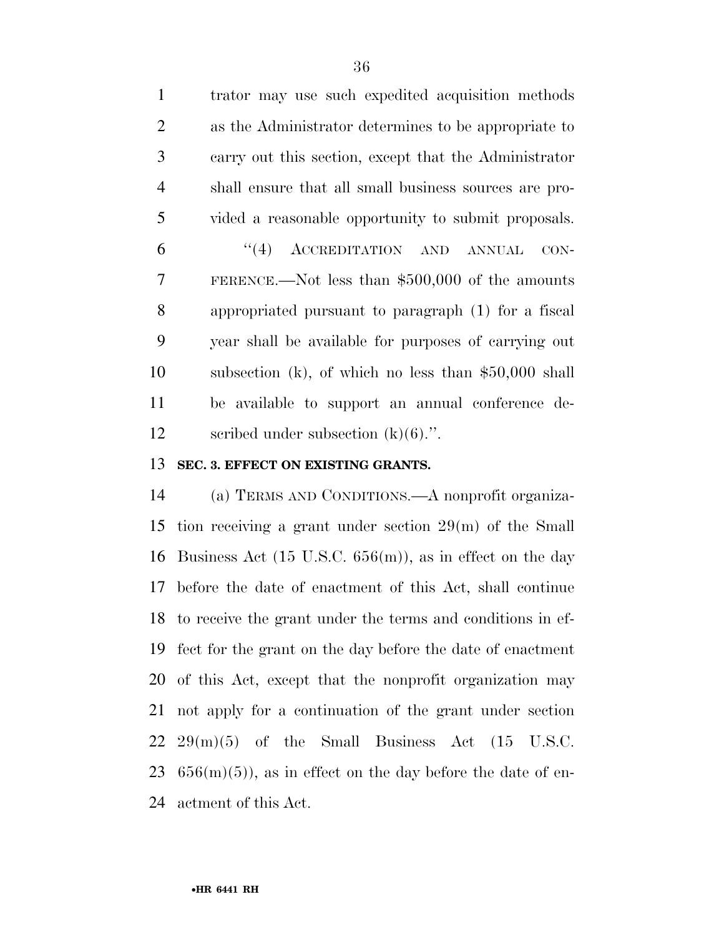trator may use such expedited acquisition methods as the Administrator determines to be appropriate to carry out this section, except that the Administrator shall ensure that all small business sources are pro- vided a reasonable opportunity to submit proposals. ''(4) ACCREDITATION AND ANNUAL CON- FERENCE.—Not less than \$500,000 of the amounts appropriated pursuant to paragraph (1) for a fiscal year shall be available for purposes of carrying out subsection (k), of which no less than \$50,000 shall be available to support an annual conference de-12 seribed under subsection  $(k)(6)$ .".

#### **SEC. 3. EFFECT ON EXISTING GRANTS.**

 (a) TERMS AND CONDITIONS.—A nonprofit organiza- tion receiving a grant under section 29(m) of the Small Business Act (15 U.S.C. 656(m)), as in effect on the day before the date of enactment of this Act, shall continue to receive the grant under the terms and conditions in ef- fect for the grant on the day before the date of enactment of this Act, except that the nonprofit organization may not apply for a continuation of the grant under section  $22 \quad 29(m)(5)$  of the Small Business Act  $(15 \quad U.S.C.$  $656(m)(5)$ , as in effect on the day before the date of en-actment of this Act.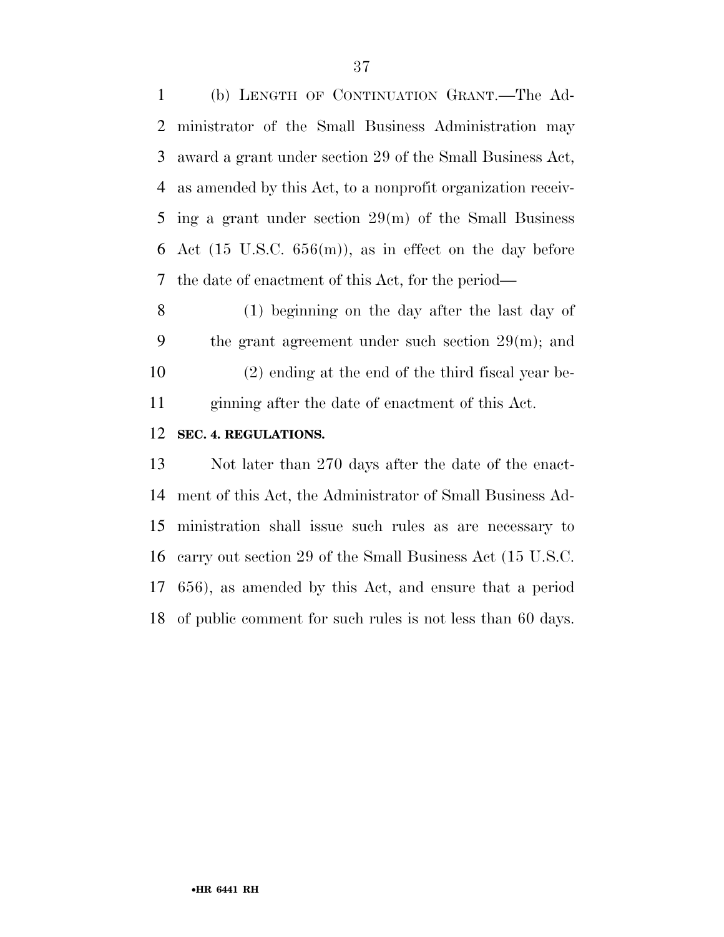(b) LENGTH OF CONTINUATION GRANT.—The Ad- ministrator of the Small Business Administration may award a grant under section 29 of the Small Business Act, as amended by this Act, to a nonprofit organization receiv- ing a grant under section 29(m) of the Small Business 6 Act (15 U.S.C.  $656(m)$ ), as in effect on the day before the date of enactment of this Act, for the period—

 (1) beginning on the day after the last day of the grant agreement under such section 29(m); and (2) ending at the end of the third fiscal year be-ginning after the date of enactment of this Act.

#### **SEC. 4. REGULATIONS.**

 Not later than 270 days after the date of the enact- ment of this Act, the Administrator of Small Business Ad- ministration shall issue such rules as are necessary to carry out section 29 of the Small Business Act (15 U.S.C. 656), as amended by this Act, and ensure that a period of public comment for such rules is not less than 60 days.